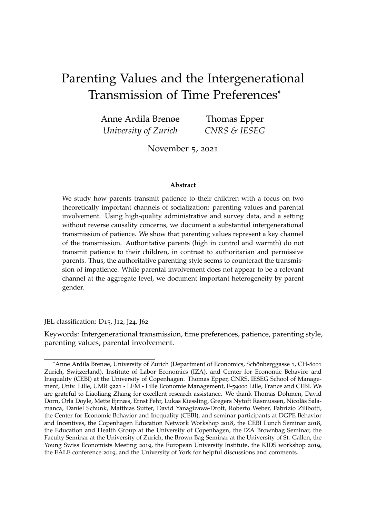# Parenting Values and the Intergenerational Transmission of Time Preferences\*

| Anne Ardila Brenøe   | Thomas Epper |
|----------------------|--------------|
| University of Zurich | CNRS & IESEG |

November 5, 2021

#### **Abstract**

We study how parents transmit patience to their children with a focus on two theoretically important channels of socialization: parenting values and parental involvement. Using high-quality administrative and survey data, and a setting without reverse causality concerns, we document a substantial intergenerational transmission of patience. We show that parenting values represent a key channel of the transmission. Authoritative parents (high in control and warmth) do not transmit patience to their children, in contrast to authoritarian and permissive parents. Thus, the authoritative parenting style seems to counteract the transmission of impatience. While parental involvement does not appear to be a relevant channel at the aggregate level, we document important heterogeneity by parent gender.

JEL classification: D15, J12, J24, J62

Keywords: Intergenerational transmission, time preferences, patience, parenting style, parenting values, parental involvement.

<sup>\*</sup>Anne Ardila Brenøe, University of Zurich (Department of Economics, Schönberggasse 1, CH-8001 Zurich, Switzerland), Institute of Labor Economics (IZA), and Center for Economic Behavior and Inequality (CEBI) at the University of Copenhagen. Thomas Epper, CNRS, IESEG School of Management, Univ. Lille, UMR 9221 - LEM - Lille Economie Management, F-59000 Lille, France and CEBI. We are grateful to Liaoliang Zhang for excellent research assistance. We thank Thomas Dohmen, David Dorn, Orla Doyle, Mette Ejrnæs, Ernst Fehr, Lukas Kiessling, Gregers Nytoft Rasmussen, Nicolas Sala- ´ manca, Daniel Schunk, Matthias Sutter, David Yanagizawa-Drott, Roberto Weber, Fabrizio Zilibotti, the Center for Economic Behavior and Inequality (CEBI), and seminar participants at DGPE Behavior and Incentives, the Copenhagen Education Network Workshop 2018, the CEBI Lunch Seminar 2018, the Education and Health Group at the University of Copenhagen, the IZA Brownbag Seminar, the Faculty Seminar at the University of Zurich, the Brown Bag Seminar at the University of St. Gallen, the Young Swiss Economists Meeting 2019, the European University Institute, the KIDS workshop 2019, the EALE conference 2019, and the University of York for helpful discussions and comments.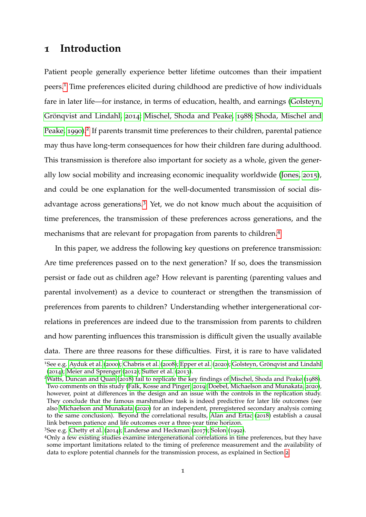### <span id="page-1-4"></span>**1 Introduction**

Patient people generally experience better lifetime outcomes than their impatient peers.[1](#page-1-0) Time preferences elicited during childhood are predictive of how individuals fare in later life—for instance, in terms of education, health, and earnings [\(Golsteyn,](#page-41-0) Grönqvist and Lindahl, [2014](#page-41-0); [Mischel, Shoda and Peake,](#page-42-0) [1988](#page-42-0); [Shoda, Mischel and](#page-42-1) [Peake,](#page-42-1) [1990](#page-42-1)).<sup>[2](#page-1-1)</sup> If parents transmit time preferences to their children, parental patience may thus have long-term consequences for how their children fare during adulthood. This transmission is therefore also important for society as a whole, given the generally low social mobility and increasing economic inequality worldwide [\(Jones,](#page-41-1) [2015](#page-41-1)), and could be one explanation for the well-documented transmission of social disadvantage across generations.[3](#page-1-2) Yet, we do not know much about the acquisition of time preferences, the transmission of these preferences across generations, and the mechanisms that are relevant for propagation from parents to children.[4](#page-1-3)

In this paper, we address the following key questions on preference transmission: Are time preferences passed on to the next generation? If so, does the transmission persist or fade out as children age? How relevant is parenting (parenting values and parental involvement) as a device to counteract or strengthen the transmission of preferences from parents to children? Understanding whether intergenerational correlations in preferences are indeed due to the transmission from parents to children and how parenting influences this transmission is difficult given the usually available data. There are three reasons for these difficulties. First, it is rare to have validated

<span id="page-1-0"></span><sup>&</sup>lt;sup>1</sup>See e.g. [Ayduk et al.](#page-37-0) ([2000](#page-37-0)); [Chabris et al.](#page-39-0) ([2008](#page-39-0)); [Epper et al.](#page-40-0) ([2020](#page-40-0)); Golsteyn, Grönqvist and Lindahl ([2014](#page-41-0)); [Meier and Sprenger](#page-42-2) ([2012](#page-42-2)); [Sutter et al.](#page-43-0) ([2013](#page-43-0)).

<span id="page-1-1"></span><sup>2</sup>[Watts, Duncan and Quan](#page-43-1) ([2018](#page-43-1)) fail to replicate the key findings of [Mischel, Shoda and Peake](#page-42-0) ([1988](#page-42-0)). Two comments on this study [\(Falk, Kosse and Pinger,](#page-40-1) [2019](#page-40-1); [Doebel, Michaelson and Munakata,](#page-39-1) [2020](#page-39-1)), however, point at differences in the design and an issue with the controls in the replication study. They conclude that the famous marshmallow task is indeed predictive for later life outcomes (see also [Michaelson and Munakata](#page-42-3) ([2020](#page-42-3)) for an independent, preregistered secondary analysis coming to the same conclusion). Beyond the correlational results, [Alan and Ertac](#page-37-1) ([2018](#page-37-1)) establish a causal link between patience and life outcomes over a three-year time horizon.

<span id="page-1-2"></span><sup>3</sup>See e.g. [Chetty et al.](#page-39-2) ([2014](#page-39-2)); [Landersø and Heckman](#page-41-2) ([2017](#page-41-2)); [Solon](#page-42-4) ([1992](#page-42-4)).

<span id="page-1-3"></span><sup>4</sup>Only a few existing studies examine intergenerational correlations in time preferences, but they have some important limitations related to the timing of preference measurement and the availability of data to explore potential channels for the transmission process, as explained in Section [2](#page-4-0).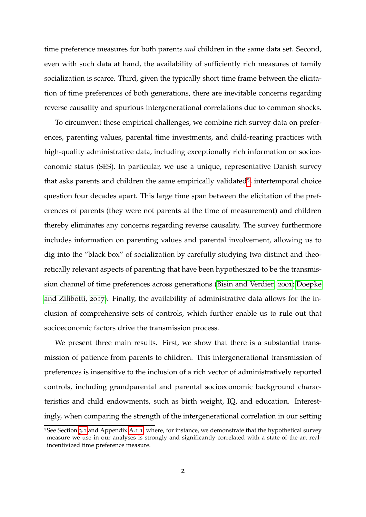time preference measures for both parents *and* children in the same data set. Second, even with such data at hand, the availability of sufficiently rich measures of family socialization is scarce. Third, given the typically short time frame between the elicitation of time preferences of both generations, there are inevitable concerns regarding reverse causality and spurious intergenerational correlations due to common shocks.

To circumvent these empirical challenges, we combine rich survey data on preferences, parenting values, parental time investments, and child-rearing practices with high-quality administrative data, including exceptionally rich information on socioeconomic status (SES). In particular, we use a unique, representative Danish survey that asks parents and children the same empirically validated<sup>[5](#page-2-0)</sup>, intertemporal choice question four decades apart. This large time span between the elicitation of the preferences of parents (they were not parents at the time of measurement) and children thereby eliminates any concerns regarding reverse causality. The survey furthermore includes information on parenting values and parental involvement, allowing us to dig into the "black box" of socialization by carefully studying two distinct and theoretically relevant aspects of parenting that have been hypothesized to be the transmission channel of time preferences across generations [\(Bisin and Verdier,](#page-38-0) [2001](#page-38-0); [Doepke](#page-39-3) [and Zilibotti,](#page-39-3) [2017](#page-39-3)). Finally, the availability of administrative data allows for the inclusion of comprehensive sets of controls, which further enable us to rule out that socioeconomic factors drive the transmission process.

We present three main results. First, we show that there is a substantial transmission of patience from parents to children. This intergenerational transmission of preferences is insensitive to the inclusion of a rich vector of administratively reported controls, including grandparental and parental socioeconomic background characteristics and child endowments, such as birth weight, IQ, and education. Interestingly, when comparing the strength of the intergenerational correlation in our setting

<span id="page-2-0"></span><sup>5</sup>See Section [3](#page-9-0).1 and Appendix [A.](#page-45-0)1.1, where, for instance, we demonstrate that the hypothetical survey measure we use in our analyses is strongly and significantly correlated with a state-of-the-art realincentivized time preference measure.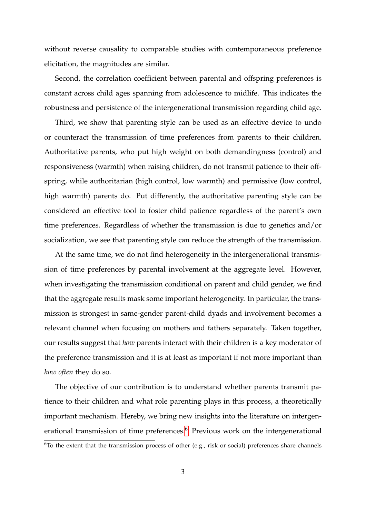without reverse causality to comparable studies with contemporaneous preference elicitation, the magnitudes are similar.

Second, the correlation coefficient between parental and offspring preferences is constant across child ages spanning from adolescence to midlife. This indicates the robustness and persistence of the intergenerational transmission regarding child age.

Third, we show that parenting style can be used as an effective device to undo or counteract the transmission of time preferences from parents to their children. Authoritative parents, who put high weight on both demandingness (control) and responsiveness (warmth) when raising children, do not transmit patience to their offspring, while authoritarian (high control, low warmth) and permissive (low control, high warmth) parents do. Put differently, the authoritative parenting style can be considered an effective tool to foster child patience regardless of the parent's own time preferences. Regardless of whether the transmission is due to genetics and/or socialization, we see that parenting style can reduce the strength of the transmission.

At the same time, we do not find heterogeneity in the intergenerational transmission of time preferences by parental involvement at the aggregate level. However, when investigating the transmission conditional on parent and child gender, we find that the aggregate results mask some important heterogeneity. In particular, the transmission is strongest in same-gender parent-child dyads and involvement becomes a relevant channel when focusing on mothers and fathers separately. Taken together, our results suggest that *how* parents interact with their children is a key moderator of the preference transmission and it is at least as important if not more important than *how often* they do so.

<span id="page-3-0"></span>The objective of our contribution is to understand whether parents transmit patience to their children and what role parenting plays in this process, a theoretically important mechanism. Hereby, we bring new insights into the literature on intergen-erational transmission of time preferences.<sup>[6](#page-3-0)</sup> Previous work on the intergenerational <sup>6</sup>To the extent that the transmission process of other (e.g., risk or social) preferences share channels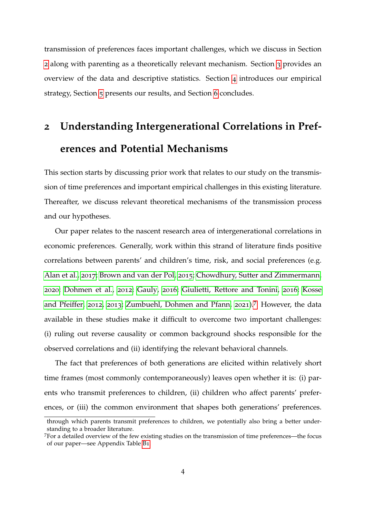transmission of preferences faces important challenges, which we discuss in Section [2](#page-4-0) along with parenting as a theoretically relevant mechanism. Section [3](#page-8-0) provides an overview of the data and descriptive statistics. Section [4](#page-15-0) introduces our empirical strategy, Section [5](#page-17-0) presents our results, and Section [6](#page-34-0) concludes.

# <span id="page-4-0"></span>**2 Understanding Intergenerational Correlations in Preferences and Potential Mechanisms**

This section starts by discussing prior work that relates to our study on the transmission of time preferences and important empirical challenges in this existing literature. Thereafter, we discuss relevant theoretical mechanisms of the transmission process and our hypotheses.

Our paper relates to the nascent research area of intergenerational correlations in economic preferences. Generally, work within this strand of literature finds positive correlations between parents' and children's time, risk, and social preferences (e.g. [Alan et al.,](#page-37-2) [2017](#page-37-2); [Brown and van der Pol,](#page-38-1) [2015](#page-38-1); [Chowdhury, Sutter and Zimmermann,](#page-39-4) [2020](#page-39-4); [Dohmen et al.,](#page-40-2) [2012](#page-40-2); [Gauly,](#page-41-3) [2016](#page-41-3); [Giulietti, Rettore and Tonini,](#page-41-4) [2016](#page-41-4); [Kosse](#page-41-5) [and Pfeiffer,](#page-41-5) [2012](#page-41-5), [2013](#page-41-6); [Zumbuehl, Dohmen and Pfann,](#page-43-2) [2021](#page-43-2)).[7](#page-4-1) However, the data available in these studies make it difficult to overcome two important challenges: (i) ruling out reverse causality or common background shocks responsible for the observed correlations and (ii) identifying the relevant behavioral channels.

The fact that preferences of both generations are elicited within relatively short time frames (most commonly contemporaneously) leaves open whether it is: (i) parents who transmit preferences to children, (ii) children who affect parents' preferences, or (iii) the common environment that shapes both generations' preferences.

through which parents transmit preferences to children, we potentially also bring a better understanding to a broader literature.

<span id="page-4-1"></span><sup>7</sup>For a detailed overview of the few existing studies on the transmission of time preferences—the focus of our paper—see Appendix Table [B](#page-61-0)1.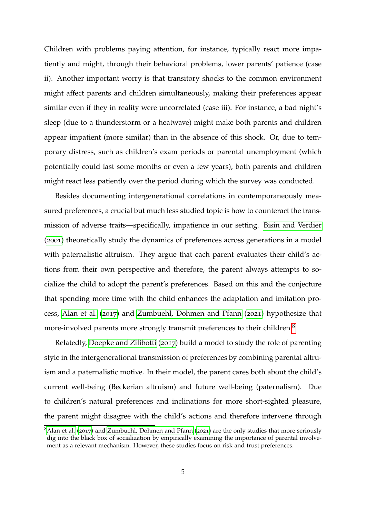Children with problems paying attention, for instance, typically react more impatiently and might, through their behavioral problems, lower parents' patience (case ii). Another important worry is that transitory shocks to the common environment might affect parents and children simultaneously, making their preferences appear similar even if they in reality were uncorrelated (case iii). For instance, a bad night's sleep (due to a thunderstorm or a heatwave) might make both parents and children appear impatient (more similar) than in the absence of this shock. Or, due to temporary distress, such as children's exam periods or parental unemployment (which potentially could last some months or even a few years), both parents and children might react less patiently over the period during which the survey was conducted.

Besides documenting intergenerational correlations in contemporaneously measured preferences, a crucial but much less studied topic is how to counteract the transmission of adverse traits—specifically, impatience in our setting. [Bisin and Verdier](#page-38-0) ([2001](#page-38-0)) theoretically study the dynamics of preferences across generations in a model with paternalistic altruism. They argue that each parent evaluates their child's actions from their own perspective and therefore, the parent always attempts to socialize the child to adopt the parent's preferences. Based on this and the conjecture that spending more time with the child enhances the adaptation and imitation process, [Alan et al.](#page-37-2) ([2017](#page-37-2)) and [Zumbuehl, Dohmen and Pfann](#page-43-2) ([2021](#page-43-2)) hypothesize that more-involved parents more strongly transmit preferences to their children.<sup>[8](#page-5-0)</sup>

Relatedly, [Doepke and Zilibotti](#page-39-3) ([2017](#page-39-3)) build a model to study the role of parenting style in the intergenerational transmission of preferences by combining parental altruism and a paternalistic motive. In their model, the parent cares both about the child's current well-being (Beckerian altruism) and future well-being (paternalism). Due to children's natural preferences and inclinations for more short-sighted pleasure, the parent might disagree with the child's actions and therefore intervene through

<span id="page-5-0"></span> $8$ [Alan et al.](#page-37-2) ([2017](#page-37-2)) and [Zumbuehl, Dohmen and Pfann](#page-43-2) ([2021](#page-43-2)) are the only studies that more seriously dig into the black box of socialization by empirically examining the importance of parental involvement as a relevant mechanism. However, these studies focus on risk and trust preferences.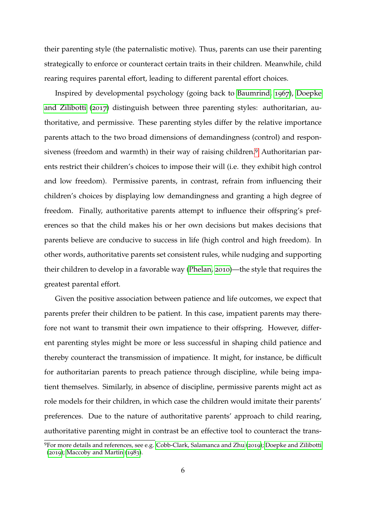their parenting style (the paternalistic motive). Thus, parents can use their parenting strategically to enforce or counteract certain traits in their children. Meanwhile, child rearing requires parental effort, leading to different parental effort choices.

Inspired by developmental psychology (going back to [Baumrind,](#page-38-2) [1967](#page-38-2)), [Doepke](#page-39-3) [and Zilibotti](#page-39-3) ([2017](#page-39-3)) distinguish between three parenting styles: authoritarian, authoritative, and permissive. These parenting styles differ by the relative importance parents attach to the two broad dimensions of demandingness (control) and responsiveness (freedom and warmth) in their way of raising children.[9](#page-6-0) Authoritarian parents restrict their children's choices to impose their will (i.e. they exhibit high control and low freedom). Permissive parents, in contrast, refrain from influencing their children's choices by displaying low demandingness and granting a high degree of freedom. Finally, authoritative parents attempt to influence their offspring's preferences so that the child makes his or her own decisions but makes decisions that parents believe are conducive to success in life (high control and high freedom). In other words, authoritative parents set consistent rules, while nudging and supporting their children to develop in a favorable way [\(Phelan,](#page-42-5) [2010](#page-42-5))—the style that requires the greatest parental effort.

Given the positive association between patience and life outcomes, we expect that parents prefer their children to be patient. In this case, impatient parents may therefore not want to transmit their own impatience to their offspring. However, different parenting styles might be more or less successful in shaping child patience and thereby counteract the transmission of impatience. It might, for instance, be difficult for authoritarian parents to preach patience through discipline, while being impatient themselves. Similarly, in absence of discipline, permissive parents might act as role models for their children, in which case the children would imitate their parents' preferences. Due to the nature of authoritative parents' approach to child rearing, authoritative parenting might in contrast be an effective tool to counteract the trans-

<span id="page-6-0"></span><sup>9</sup>For more details and references, see e.g. [Cobb-Clark, Salamanca and Zhu](#page-39-5) ([2019](#page-39-5)); [Doepke and Zilibotti](#page-39-6) ([2019](#page-39-6)); [Maccoby and Martin](#page-42-6) ([1983](#page-42-6)).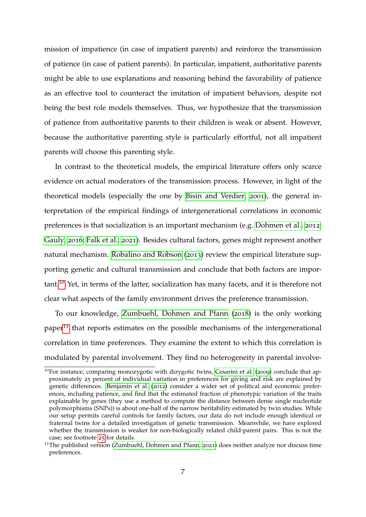mission of impatience (in case of impatient parents) and reinforce the transmission of patience (in case of patient parents). In particular, impatient, authoritative parents might be able to use explanations and reasoning behind the favorability of patience as an effective tool to counteract the imitation of impatient behaviors, despite not being the best role models themselves. Thus, we hypothesize that the transmission of patience from authoritative parents to their children is weak or absent. However, because the authoritative parenting style is particularly effortful, not all impatient parents will choose this parenting style.

In contrast to the theoretical models, the empirical literature offers only scarce evidence on actual moderators of the transmission process. However, in light of the theoretical models (especially the one by [Bisin and Verdier,](#page-38-0) [2001](#page-38-0)), the general interpretation of the empirical findings of intergenerational correlations in economic preferences is that socialization is an important mechanism (e.g. [Dohmen et al.,](#page-40-2) [2012](#page-40-2); [Gauly,](#page-41-3) [2016](#page-41-3); [Falk et al.,](#page-40-3) [2021](#page-40-3)). Besides cultural factors, genes might represent another natural mechanism. [Robalino and Robson](#page-42-7) ([2013](#page-42-7)) review the empirical literature supporting genetic and cultural transmission and conclude that both factors are important.[10](#page-7-0) Yet, in terms of the latter, socialization has many facets, and it is therefore not clear what aspects of the family environment drives the preference transmission.

To our knowledge, [Zumbuehl, Dohmen and Pfann](#page-43-3) ([2018](#page-43-3)) is the only working paper<sup>[11](#page-7-1)</sup> that reports estimates on the possible mechanisms of the intergenerational correlation in time preferences. They examine the extent to which this correlation is modulated by parental involvement. They find no heterogeneity in parental involve-

<span id="page-7-0"></span><sup>&</sup>lt;sup>10</sup>For instance, comparing monozygotic with dizygotic twins, [Cesarini et al.](#page-38-3) ([2009](#page-38-3)) conclude that approximately 25 percent of individual variation in preferences for giving and risk are explained by genetic differences. [Benjamin et al.](#page-38-4) ([2012](#page-38-4)) consider a wider set of political and economic preferences, including patience, and find that the estimated fraction of phenotypic variation of the traits explainable by genes (they use a method to compute the distance between dense single nucleotide polymorphisms (SNPs)) is about one-half of the narrow heritability estimated by twin studies. While our setup permits careful controls for family factors, our data do not include enough identical or fraternal twins for a detailed investigation of genetic transmission. Meanwhile, we have explored whether the transmission is weaker for non-biologically related child-parent pairs. This is not the case; see footnote [25](#page-18-0) for details.

<span id="page-7-1"></span><sup>&</sup>lt;sup>11</sup>The published version [\(Zumbuehl, Dohmen and Pfann,](#page-43-2) [2021](#page-43-2)) does neither analyze nor discuss time preferences.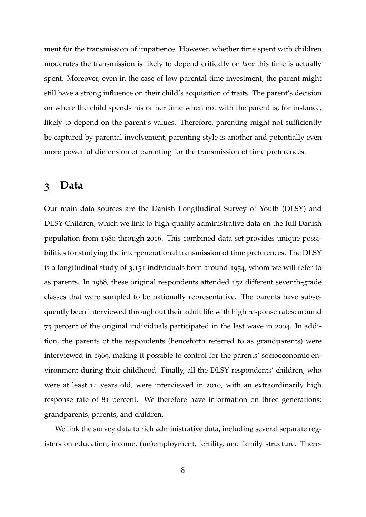ment for the transmission of impatience. However, whether time spent with children moderates the transmission is likely to depend critically on *how* this time is actually spent. Moreover, even in the case of low parental time investment, the parent might still have a strong influence on their child's acquisition of traits. The parent's decision on where the child spends his or her time when not with the parent is, for instance, likely to depend on the parent's values. Therefore, parenting might not sufficiently be captured by parental involvement; parenting style is another and potentially even more powerful dimension of parenting for the transmission of time preferences.

### <span id="page-8-0"></span>**3 Data**

Our main data sources are the Danish Longitudinal Survey of Youth (DLSY) and DLSY-Children, which we link to high-quality administrative data on the full Danish population from 1980 through 2016. This combined data set provides unique possibilities for studying the intergenerational transmission of time preferences. The DLSY is a longitudinal study of 3,151 individuals born around 1954, whom we will refer to as parents. In 1968, these original respondents attended 152 different seventh-grade classes that were sampled to be nationally representative. The parents have subsequently been interviewed throughout their adult life with high response rates; around 75 percent of the original individuals participated in the last wave in 2004. In addition, the parents of the respondents (henceforth referred to as grandparents) were interviewed in 1969, making it possible to control for the parents' socioeconomic environment during their childhood. Finally, all the DLSY respondents' children, who were at least 14 years old, were interviewed in 2010, with an extraordinarily high response rate of 81 percent. We therefore have information on three generations: grandparents, parents, and children.

We link the survey data to rich administrative data, including several separate registers on education, income, (un)employment, fertility, and family structure. There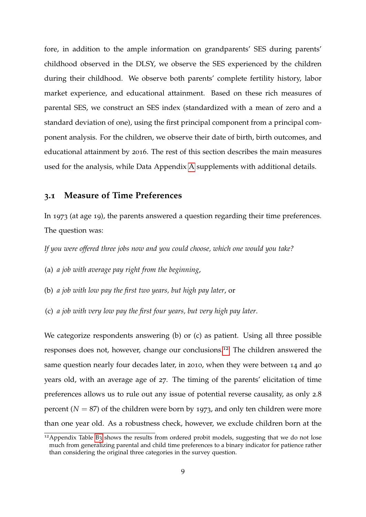fore, in addition to the ample information on grandparents' SES during parents' childhood observed in the DLSY, we observe the SES experienced by the children during their childhood. We observe both parents' complete fertility history, labor market experience, and educational attainment. Based on these rich measures of parental SES, we construct an SES index (standardized with a mean of zero and a standard deviation of one), using the first principal component from a principal component analysis. For the children, we observe their date of birth, birth outcomes, and educational attainment by 2016. The rest of this section describes the main measures used for the analysis, while Data Appendix [A](#page-44-0) supplements with additional details.

#### <span id="page-9-0"></span>**3.1 Measure of Time Preferences**

In 1973 (at age 19), the parents answered a question regarding their time preferences. The question was:

*If you were offered three jobs now and you could choose, which one would you take?*

(a) *a job with average pay right from the beginning*,

(b) *a job with low pay the first two years, but high pay later*, or

(c) *a job with very low pay the first four years, but very high pay later*.

We categorize respondents answering (b) or (c) as patient. Using all three possible responses does not, however, change our conclusions.[12](#page-9-1) The children answered the same question nearly four decades later, in 2010, when they were between 14 and 40 years old, with an average age of 27. The timing of the parents' elicitation of time preferences allows us to rule out any issue of potential reverse causality, as only 2.8 percent  $(N = 87)$  of the children were born by 1973, and only ten children were more than one year old. As a robustness check, however, we exclude children born at the

<span id="page-9-1"></span><sup>&</sup>lt;sup>12</sup> Appendix Table [B](#page-62-0)3 shows the results from ordered probit models, suggesting that we do not lose much from generalizing parental and child time preferences to a binary indicator for patience rather than considering the original three categories in the survey question.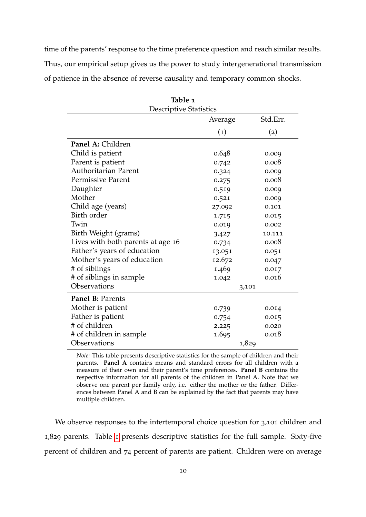time of the parents' response to the time preference question and reach similar results. Thus, our empirical setup gives us the power to study intergenerational transmission of patience in the absence of reverse causality and temporary common shocks.

<span id="page-10-0"></span>

| <b>Descriptive Statistics</b>     |                     |                   |  |  |  |  |
|-----------------------------------|---------------------|-------------------|--|--|--|--|
|                                   | Std.Err.<br>Average |                   |  |  |  |  |
|                                   | $\left( 1\right)$   | $\left( 2\right)$ |  |  |  |  |
| Panel A: Children                 |                     |                   |  |  |  |  |
| Child is patient                  | 0.648               | 0.009             |  |  |  |  |
| Parent is patient                 | 0.742               | 0.008             |  |  |  |  |
| <b>Authoritarian Parent</b>       | 0.324               | 0.009             |  |  |  |  |
| <b>Permissive Parent</b>          | 0.275               | 0.008             |  |  |  |  |
| Daughter                          | 0.519               | 0.009             |  |  |  |  |
| Mother                            | 0.521               | 0.009             |  |  |  |  |
| Child age (years)                 | 27.092              | 0.101             |  |  |  |  |
| Birth order                       | 1.715               | 0.015             |  |  |  |  |
| Twin                              | 0.019               | 0.002             |  |  |  |  |
| Birth Weight (grams)              | 3,427               | 10.111            |  |  |  |  |
| Lives with both parents at age 16 | 0.734               | 0.008             |  |  |  |  |
| Father's years of education       | 13.051              | 0.051             |  |  |  |  |
| Mother's years of education       | 12.672              | 0.047             |  |  |  |  |
| # of siblings                     | 1.469               | 0.017             |  |  |  |  |
| # of siblings in sample           | 1.042               | 0.016             |  |  |  |  |
| Observations                      | 3,101               |                   |  |  |  |  |
| Panel B: Parents                  |                     |                   |  |  |  |  |
| Mother is patient                 | 0.739               | 0.014             |  |  |  |  |
| Father is patient                 | 0.754               | 0.015             |  |  |  |  |
| # of children                     | 2.225               | 0.020             |  |  |  |  |
| # of children in sample           | 1.695               | 0.018             |  |  |  |  |
| Observations                      |                     | 1,829             |  |  |  |  |

**Table 1**

*Note:* This table presents descriptive statistics for the sample of children and their parents. **Panel A** contains means and standard errors for all children with a measure of their own and their parent's time preferences. **Panel B** contains the respective information for all parents of the children in Panel A. Note that we observe one parent per family only, i.e. either the mother or the father. Differences between Panel A and B can be explained by the fact that parents may have multiple children.

We observe responses to the intertemporal choice question for 3,101 children and 1,829 parents. Table [1](#page-10-0) presents descriptive statistics for the full sample. Sixty-five percent of children and 74 percent of parents are patient. Children were on average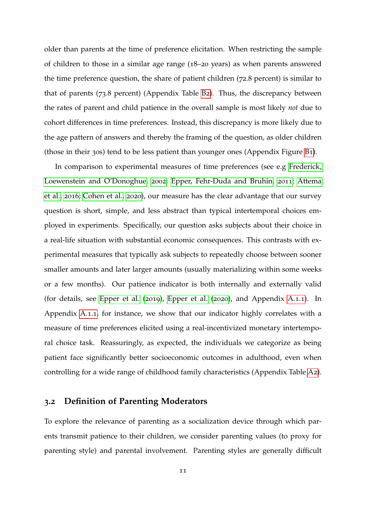older than parents at the time of preference elicitation. When restricting the sample of children to those in a similar age range (18–20 years) as when parents answered the time preference question, the share of patient children (72.8 percent) is similar to that of parents (73.8 percent) (Appendix Table [B](#page-62-1)2). Thus, the discrepancy between the rates of parent and child patience in the overall sample is most likely *not* due to cohort differences in time preferences. Instead, this discrepancy is more likely due to the age pattern of answers and thereby the framing of the question, as older children (those in their 30s) tend to be less patient than younger ones (Appendix Figure [B](#page-63-0)1).

In comparison to experimental measures of time preferences (see e.g [Frederick,](#page-40-4) [Loewenstein and O'Donoghue,](#page-40-4) [2002](#page-40-4); [Epper, Fehr-Duda and Bruhin,](#page-40-5) [2011](#page-40-5); [Attema](#page-37-3) [et al.,](#page-37-3) [2016](#page-37-3); [Cohen et al.,](#page-39-7) [2020](#page-39-7)), our measure has the clear advantage that our survey question is short, simple, and less abstract than typical intertemporal choices employed in experiments. Specifically, our question asks subjects about their choice in a real-life situation with substantial economic consequences. This contrasts with experimental measures that typically ask subjects to repeatedly choose between sooner smaller amounts and later larger amounts (usually materializing within some weeks or a few months). Our patience indicator is both internally and externally valid (for details, see [Epper et al.](#page-40-6) ([2019](#page-40-6)), [Epper et al.](#page-40-0) ([2020](#page-40-0)), and Appendix [A.](#page-45-0)1.1). In Appendix [A.](#page-45-0)1.1, for instance, we show that our indicator highly correlates with a measure of time preferences elicited using a real-incentivized monetary intertemporal choice task. Reassuringly, as expected, the individuals we categorize as being patient face significantly better socioeconomic outcomes in adulthood, even when controlling for a wide range of childhood family characteristics (Appendix Table [A](#page-46-0)2).

#### **3.2 Definition of Parenting Moderators**

To explore the relevance of parenting as a socialization device through which parents transmit patience to their children, we consider parenting values (to proxy for parenting style) and parental involvement. Parenting styles are generally difficult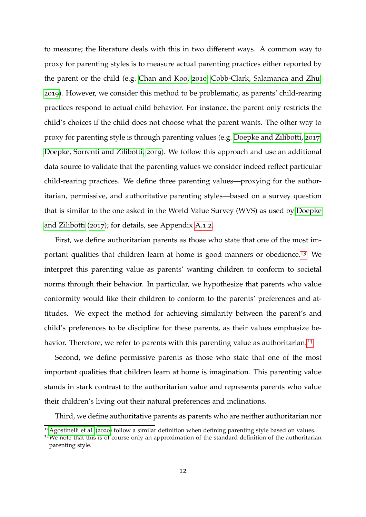to measure; the literature deals with this in two different ways. A common way to proxy for parenting styles is to measure actual parenting practices either reported by the parent or the child (e.g. [Chan and Koo,](#page-39-8) [2010](#page-39-8); [Cobb-Clark, Salamanca and Zhu,](#page-39-5) [2019](#page-39-5)). However, we consider this method to be problematic, as parents' child-rearing practices respond to actual child behavior. For instance, the parent only restricts the child's choices if the child does not choose what the parent wants. The other way to proxy for parenting style is through parenting values (e.g. [Doepke and Zilibotti,](#page-39-3) [2017](#page-39-3); [Doepke, Sorrenti and Zilibotti,](#page-40-7) [2019](#page-40-7)). We follow this approach and use an additional data source to validate that the parenting values we consider indeed reflect particular child-rearing practices. We define three parenting values—proxying for the authoritarian, permissive, and authoritative parenting styles—based on a survey question that is similar to the one asked in the World Value Survey (WVS) as used by [Doepke](#page-39-3) [and Zilibotti](#page-39-3) ([2017](#page-39-3)); for details, see Appendix [A.](#page-49-0)1.2.

First, we define authoritarian parents as those who state that one of the most im-portant qualities that children learn at home is good manners or obedience.<sup>[13](#page-12-0)</sup> We interpret this parenting value as parents' wanting children to conform to societal norms through their behavior. In particular, we hypothesize that parents who value conformity would like their children to conform to the parents' preferences and attitudes. We expect the method for achieving similarity between the parent's and child's preferences to be discipline for these parents, as their values emphasize be-havior. Therefore, we refer to parents with this parenting value as authoritarian.<sup>[14](#page-12-1)</sup>

Second, we define permissive parents as those who state that one of the most important qualities that children learn at home is imagination. This parenting value stands in stark contrast to the authoritarian value and represents parents who value their children's living out their natural preferences and inclinations.

Third, we define authoritative parents as parents who are neither authoritarian nor

<span id="page-12-1"></span><span id="page-12-0"></span><sup>&</sup>lt;sup>13</sup> [Agostinelli et al.](#page-37-4) ([2020](#page-37-4)) follow a similar definition when defining parenting style based on values. <sup>14</sup>We note that this is of course only an approximation of the standard definition of the authoritarian

parenting style.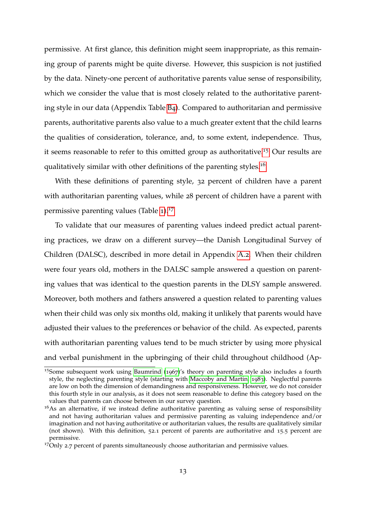permissive. At first glance, this definition might seem inappropriate, as this remaining group of parents might be quite diverse. However, this suspicion is not justified by the data. Ninety-one percent of authoritative parents value sense of responsibility, which we consider the value that is most closely related to the authoritative parenting style in our data (Appendix Table [B](#page-63-1)4). Compared to authoritarian and permissive parents, authoritative parents also value to a much greater extent that the child learns the qualities of consideration, tolerance, and, to some extent, independence. Thus, it seems reasonable to refer to this omitted group as authoritative.[15](#page-13-0) Our results are qualitatively similar with other definitions of the parenting styles.<sup>[16](#page-13-1)</sup>

With these definitions of parenting style, 32 percent of children have a parent with authoritarian parenting values, while 28 percent of children have a parent with permissive parenting values (Table [1](#page-10-0)).<sup>[17](#page-13-2)</sup>

To validate that our measures of parenting values indeed predict actual parenting practices, we draw on a different survey—the Danish Longitudinal Survey of Children (DALSC), described in more detail in Appendix [A.](#page-54-0)2. When their children were four years old, mothers in the DALSC sample answered a question on parenting values that was identical to the question parents in the DLSY sample answered. Moreover, both mothers and fathers answered a question related to parenting values when their child was only six months old, making it unlikely that parents would have adjusted their values to the preferences or behavior of the child. As expected, parents with authoritarian parenting values tend to be much stricter by using more physical and verbal punishment in the upbringing of their child throughout childhood (Ap-

<span id="page-13-0"></span><sup>15</sup>Some subsequent work using [Baumrind](#page-38-2) ([1967](#page-38-2))'s theory on parenting style also includes a fourth style, the neglecting parenting style (starting with [Maccoby and Martin,](#page-42-6) [1983](#page-42-6)). Neglectful parents are low on both the dimension of demandingness and responsiveness. However, we do not consider this fourth style in our analysis, as it does not seem reasonable to define this category based on the values that parents can choose between in our survey question.

<span id="page-13-1"></span><sup>&</sup>lt;sup>16</sup>As an alternative, if we instead define authoritative parenting as valuing sense of responsibility and not having authoritarian values and permissive parenting as valuing independence and/or imagination and not having authoritative or authoritarian values, the results are qualitatively similar (not shown). With this definition, 52.1 percent of parents are authoritative and 15.5 percent are permissive.

<span id="page-13-2"></span><sup>&</sup>lt;sup>17</sup>Only 2.7 percent of parents simultaneously choose authoritarian and permissive values.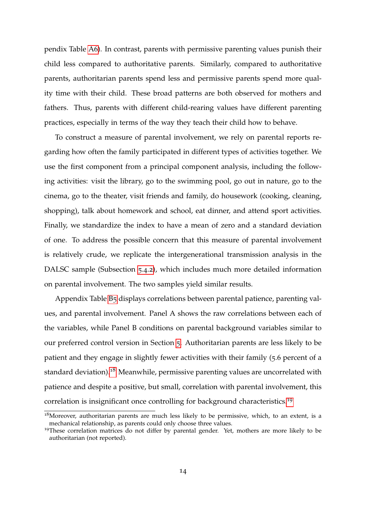pendix Table [A](#page-56-0)6). In contrast, parents with permissive parenting values punish their child less compared to authoritative parents. Similarly, compared to authoritative parents, authoritarian parents spend less and permissive parents spend more quality time with their child. These broad patterns are both observed for mothers and fathers. Thus, parents with different child-rearing values have different parenting practices, especially in terms of the way they teach their child how to behave.

To construct a measure of parental involvement, we rely on parental reports regarding how often the family participated in different types of activities together. We use the first component from a principal component analysis, including the following activities: visit the library, go to the swimming pool, go out in nature, go to the cinema, go to the theater, visit friends and family, do housework (cooking, cleaning, shopping), talk about homework and school, eat dinner, and attend sport activities. Finally, we standardize the index to have a mean of zero and a standard deviation of one. To address the possible concern that this measure of parental involvement is relatively crude, we replicate the intergenerational transmission analysis in the DALSC sample (Subsection [5](#page-31-0).4.2), which includes much more detailed information on parental involvement. The two samples yield similar results.

Appendix Table [B](#page-64-0)5 displays correlations between parental patience, parenting values, and parental involvement. Panel A shows the raw correlations between each of the variables, while Panel B conditions on parental background variables similar to our preferred control version in Section [5](#page-17-0). Authoritarian parents are less likely to be patient and they engage in slightly fewer activities with their family (5.6 percent of a standard deviation).<sup>[18](#page-14-0)</sup> Meanwhile, permissive parenting values are uncorrelated with patience and despite a positive, but small, correlation with parental involvement, this correlation is insignificant once controlling for background characteristics.[19](#page-14-1)

<span id="page-14-0"></span> $18$ Moreover, authoritarian parents are much less likely to be permissive, which, to an extent, is a mechanical relationship, as parents could only choose three values.

<span id="page-14-1"></span><sup>&</sup>lt;sup>19</sup>These correlation matrices do not differ by parental gender. Yet, mothers are more likely to be authoritarian (not reported).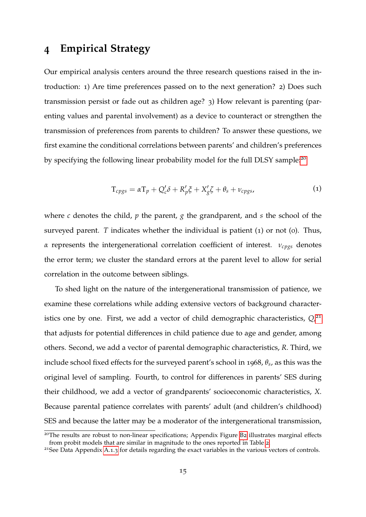### <span id="page-15-0"></span>**4 Empirical Strategy**

Our empirical analysis centers around the three research questions raised in the introduction: 1) Are time preferences passed on to the next generation? 2) Does such transmission persist or fade out as children age? 3) How relevant is parenting (parenting values and parental involvement) as a device to counteract or strengthen the transmission of preferences from parents to children? To answer these questions, we first examine the conditional correlations between parents' and children's preferences by specifying the following linear probability model for the full DLSY sample:<sup>[20](#page-15-1)</sup>

$$
T_{cpgs} = \alpha T_p + Q_c' \delta + R_p' \xi + X_g' \xi + \theta_s + \nu_{cpgs},
$$
\n(1)

where *c* denotes the child, *p* the parent, *g* the grandparent, and *s* the school of the surveyed parent. *T* indicates whether the individual is patient (1) or not (0). Thus, *α* represents the intergenerational correlation coefficient of interest. *νcpgs* denotes the error term; we cluster the standard errors at the parent level to allow for serial correlation in the outcome between siblings.

To shed light on the nature of the intergenerational transmission of patience, we examine these correlations while adding extensive vectors of background character-istics one by one. First, we add a vector of child demographic characteristics, Q,<sup>[21](#page-15-2)</sup> that adjusts for potential differences in child patience due to age and gender, among others. Second, we add a vector of parental demographic characteristics, *R*. Third, we include school fixed effects for the surveyed parent's school in 1968, *θ<sup>s</sup>* , as this was the original level of sampling. Fourth, to control for differences in parents' SES during their childhood, we add a vector of grandparents' socioeconomic characteristics, *X*. Because parental patience correlates with parents' adult (and children's childhood) SES and because the latter may be a moderator of the intergenerational transmission,

<span id="page-15-1"></span><sup>&</sup>lt;sup>20</sup>The results are robust to non-linear specifications; Appendix Figure [B](#page-66-0)2 illustrates marginal effects from probit models that are similar in magnitude to the ones reported in Table [2](#page-19-0).

<span id="page-15-2"></span><sup>&</sup>lt;sup>21</sup>See Data Appendix [A.](#page-53-0)1.3 for details regarding the exact variables in the various vectors of controls.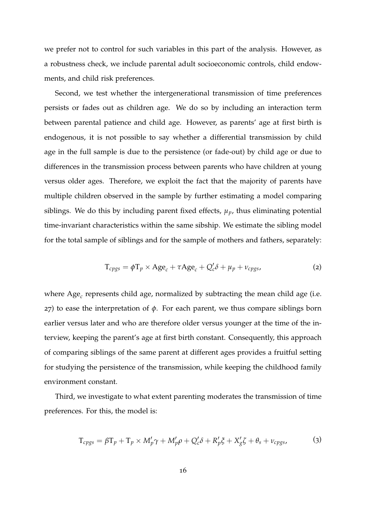we prefer not to control for such variables in this part of the analysis. However, as a robustness check, we include parental adult socioeconomic controls, child endowments, and child risk preferences.

Second, we test whether the intergenerational transmission of time preferences persists or fades out as children age. We do so by including an interaction term between parental patience and child age. However, as parents' age at first birth is endogenous, it is not possible to say whether a differential transmission by child age in the full sample is due to the persistence (or fade-out) by child age or due to differences in the transmission process between parents who have children at young versus older ages. Therefore, we exploit the fact that the majority of parents have multiple children observed in the sample by further estimating a model comparing siblings. We do this by including parent fixed effects,  $\mu_p$ , thus eliminating potential time-invariant characteristics within the same sibship. We estimate the sibling model for the total sample of siblings and for the sample of mothers and fathers, separately:

$$
T_{cpgs} = \phi T_p \times Age_c + \tau Age_c + Q_c'\delta + \mu_p + \nu_{cpgs},
$$
\n(2)

where Age*<sup>c</sup>* represents child age, normalized by subtracting the mean child age (i.e. 27) to ease the interpretation of *φ*. For each parent, we thus compare siblings born earlier versus later and who are therefore older versus younger at the time of the interview, keeping the parent's age at first birth constant. Consequently, this approach of comparing siblings of the same parent at different ages provides a fruitful setting for studying the persistence of the transmission, while keeping the childhood family environment constant.

Third, we investigate to what extent parenting moderates the transmission of time preferences. For this, the model is:

$$
T_{cpgs} = \beta T_p + T_p \times M'_p \gamma + M'_p \rho + Q'_c \delta + R'_p \xi + X'_g \zeta + \theta_s + \nu_{cpgs},
$$
 (3)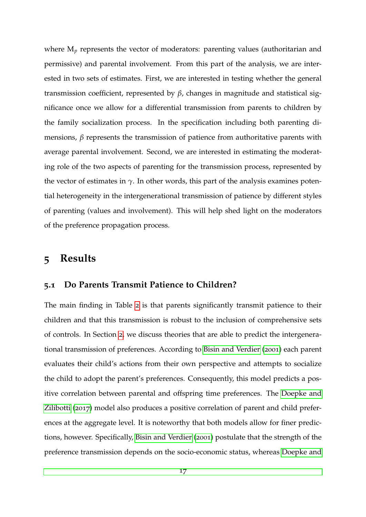where  $M_p$  represents the vector of moderators: parenting values (authoritarian and permissive) and parental involvement. From this part of the analysis, we are interested in two sets of estimates. First, we are interested in testing whether the general transmission coefficient, represented by *β*, changes in magnitude and statistical significance once we allow for a differential transmission from parents to children by the family socialization process. In the specification including both parenting dimensions, *β* represents the transmission of patience from authoritative parents with average parental involvement. Second, we are interested in estimating the moderating role of the two aspects of parenting for the transmission process, represented by the vector of estimates in  $\gamma$ . In other words, this part of the analysis examines potential heterogeneity in the intergenerational transmission of patience by different styles of parenting (values and involvement). This will help shed light on the moderators of the preference propagation process.

### <span id="page-17-0"></span>**5 Results**

#### **5.1 Do Parents Transmit Patience to Children?**

The main finding in Table [2](#page-19-0) is that parents significantly transmit patience to their children and that this transmission is robust to the inclusion of comprehensive sets of controls. In Section [2](#page-4-0), we discuss theories that are able to predict the intergenerational transmission of preferences. According to [Bisin and Verdier](#page-38-0) ([2001](#page-38-0)) each parent evaluates their child's actions from their own perspective and attempts to socialize the child to adopt the parent's preferences. Consequently, this model predicts a positive correlation between parental and offspring time preferences. The [Doepke and](#page-39-3) [Zilibotti](#page-39-3) ([2017](#page-39-3)) model also produces a positive correlation of parent and child preferences at the aggregate level. It is noteworthy that both models allow for finer predictions, however. Specifically, [Bisin and Verdier](#page-38-0) ([2001](#page-38-0)) postulate that the strength of the preference transmission depends on the socio-economic status, whereas [Doepke and](#page-39-3)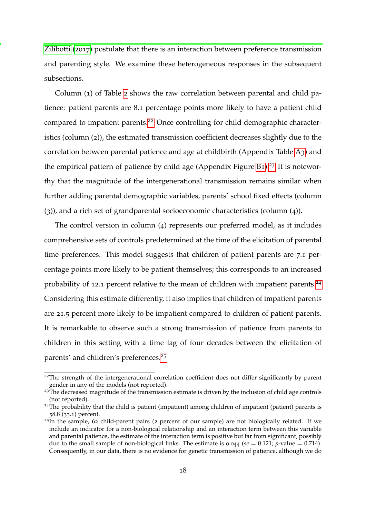[Zilibotti](#page-39-3) ([2017](#page-39-3)) postulate that there is an interaction between preference transmission and parenting style. We examine these heterogeneous responses in the subsequent subsections.

Column (1) of Table [2](#page-19-0) shows the raw correlation between parental and child patience: patient parents are 8.1 percentage points more likely to have a patient child compared to impatient parents.<sup>[22](#page-18-1)</sup> Once controlling for child demographic characteristics (column (2)), the estimated transmission coefficient decreases slightly due to the correlation between parental patience and age at childbirth (Appendix Table [A](#page-47-0)3) and the empirical pattern of patience by child age (Appendix Figure  $B_1$ ).<sup>[23](#page-18-2)</sup> It is noteworthy that the magnitude of the intergenerational transmission remains similar when further adding parental demographic variables, parents' school fixed effects (column (3)), and a rich set of grandparental socioeconomic characteristics (column (4)).

The control version in column (4) represents our preferred model, as it includes comprehensive sets of controls predetermined at the time of the elicitation of parental time preferences. This model suggests that children of patient parents are 7.1 percentage points more likely to be patient themselves; this corresponds to an increased probability of 12.1 percent relative to the mean of children with impatient parents.<sup>[24](#page-18-3)</sup> Considering this estimate differently, it also implies that children of impatient parents are 21.5 percent more likely to be impatient compared to children of patient parents. It is remarkable to observe such a strong transmission of patience from parents to children in this setting with a time lag of four decades between the elicitation of parents' and children's preferences.[25](#page-18-0)

<span id="page-18-1"></span><sup>&</sup>lt;sup>22</sup>The strength of the intergenerational correlation coefficient does not differ significantly by parent gender in any of the models (not reported).

<span id="page-18-2"></span><sup>&</sup>lt;sup>23</sup>The decreased magnitude of the transmission estimate is driven by the inclusion of child age controls (not reported).

<span id="page-18-3"></span><sup>&</sup>lt;sup>24</sup>The probability that the child is patient (impatient) among children of impatient (patient) parents is 58.8 (33.1) percent.

<span id="page-18-0"></span><sup>&</sup>lt;sup>25</sup>In the sample, 62 child-parent pairs (2 percent of our sample) are not biologically related. If we include an indicator for a non-biological relationship and an interaction term between this variable and parental patience, the estimate of the interaction term is positive but far from significant, possibly due to the small sample of non-biological links. The estimate is  $0.044$  ( $se = 0.121$ ; *p*-value = 0.714). Consequently, in our data, there is no evidence for genetic transmission of patience, although we do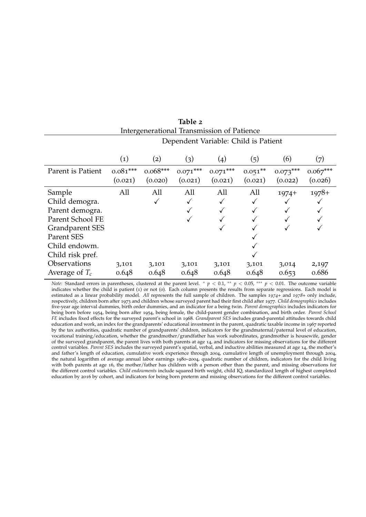<span id="page-19-0"></span>

|                        |                   | Dependent Variable: Child is Patient |            |                    |           |            |            |  |  |
|------------------------|-------------------|--------------------------------------|------------|--------------------|-----------|------------|------------|--|--|
|                        | $\left( 1\right)$ | $\rm(2)$                             | (3)        | $\left( 4 \right)$ | (5)       | (6)        | (7)        |  |  |
| Parent is Patient      | $0.081***$        | $0.068***$                           | $0.071***$ | $0.071***$         | $0.051**$ | $0.073***$ | $0.067***$ |  |  |
|                        | (0.021)           | (0.020)                              | (0.021)    | (0.021)            | (0.021)   | (0.022)    | (0.026)    |  |  |
| Sample                 | All               | All                                  | All        | All                | All       | $1974+$    | $1978+$    |  |  |
| Child demogra.         |                   | ✓                                    |            |                    | ✓         |            |            |  |  |
| Parent demogra.        |                   |                                      |            |                    | ✓         |            |            |  |  |
| Parent School FE       |                   |                                      |            |                    |           |            |            |  |  |
| <b>Grandparent SES</b> |                   |                                      |            |                    |           |            |            |  |  |
| Parent SES             |                   |                                      |            |                    |           |            |            |  |  |
| Child endowm.          |                   |                                      |            |                    |           |            |            |  |  |
| Child risk pref.       |                   |                                      |            |                    |           |            |            |  |  |
| Observations           | 3,101             | 3,101                                | 3,101      | 3,101              | 3,101     | 3,014      | 2,197      |  |  |
| Average of $T_c$       | 0.648             | 0.648                                | 0.648      | 0.648              | 0.648     | 0.653      | 0.686      |  |  |

**Table 2** Intergenerational Transmission of Patience

*Note:* Standard errors in parentheses, clustered at the parent level. <sup>\*</sup> *p* < 0.1, <sup>\*\*</sup> *p* < 0.05, <sup>\*\*\*</sup> *p* < 0.01. The outcome variable indicates whether the child is patient (1) or not (0). Each column presents the results from separate regressions. Each model is estimated as a linear probability model. *All* represents the full sample of children. The samples *1974+* and *1978+* only include, respectively, children born after 1973 and children whose surveyed parent had their first child after 1977. *Child demographics* includes five-year age interval dummies, birth order dummies, and an indicator for a being twin. *Parent demographics* includes indicators for being born before 1954, being born after 1954, being female, the child-parent gender combination, and birth order. *Parent School FE* includes fixed effects for the surveyed parent's school in 1968. *Grandparent SES* includes grand-parental attitudes towards child education and work, an index for the grandparents' educational investment in the parent, quadratic taxable income in 1967 reported by the tax authorities, quadratic number of grandparents' children, indicators for the grandmaternal/paternal level of education, vocational training/education, whether the grandmother/grandfather has work subordinates, grandmother is housewife, gender of the surveyed grandparent, the parent lives with both parents at age 14, and indicators for missing observations for the different control variables. *Parent SES* includes the surveyed parent's spatial, verbal, and inductive abilities measured at age 14, the mother's and father's length of education, cumulative work experience through 2004, cumulative length of unemployment through 2004, the natural logarithm of average annual labor earnings 1980–2004, quadratic number of children, indicators for the child living with both parents at age 16, the mother/father has children with a person other than the parent, and missing observations for the different control variables. *Child endowments* include squared birth weight, child IQ, standardized length of highest completed education by 2016 by cohort, and indicators for being born preterm and missing observations for the different control variables.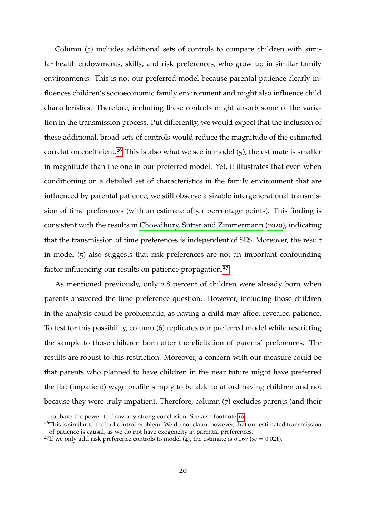Column (5) includes additional sets of controls to compare children with similar health endowments, skills, and risk preferences, who grow up in similar family environments. This is not our preferred model because parental patience clearly influences children's socioeconomic family environment and might also influence child characteristics. Therefore, including these controls might absorb some of the variation in the transmission process. Put differently, we would expect that the inclusion of these additional, broad sets of controls would reduce the magnitude of the estimated correlation coefficient.<sup>[26](#page-20-0)</sup> This is also what we see in model (5); the estimate is smaller in magnitude than the one in our preferred model. Yet, it illustrates that even when conditioning on a detailed set of characteristics in the family environment that are influenced by parental patience, we still observe a sizable intergenerational transmission of time preferences (with an estimate of 5.1 percentage points). This finding is consistent with the results in [Chowdhury, Sutter and Zimmermann](#page-39-4) ([2020](#page-39-4)), indicating that the transmission of time preferences is independent of SES. Moreover, the result in model (5) also suggests that risk preferences are not an important confounding factor influencing our results on patience propagation.<sup>[27](#page-20-1)</sup>

As mentioned previously, only 2.8 percent of children were already born when parents answered the time preference question. However, including those children in the analysis could be problematic, as having a child may affect revealed patience. To test for this possibility, column (6) replicates our preferred model while restricting the sample to those children born after the elicitation of parents' preferences. The results are robust to this restriction. Moreover, a concern with our measure could be that parents who planned to have children in the near future might have preferred the flat (impatient) wage profile simply to be able to afford having children and not because they were truly impatient. Therefore, column (7) excludes parents (and their

not have the power to draw any strong conclusion. See also footnote [10](#page-7-0).

<span id="page-20-0"></span><sup>&</sup>lt;sup>26</sup>This is similar to the bad control problem. We do not claim, however, that our estimated transmission of patience is causal, as we do not have exogeneity in parental preferences.

<span id="page-20-1"></span><sup>&</sup>lt;sup>27</sup>If we only add risk preference controls to model (4), the estimate is 0.067 ( $se = 0.021$ ).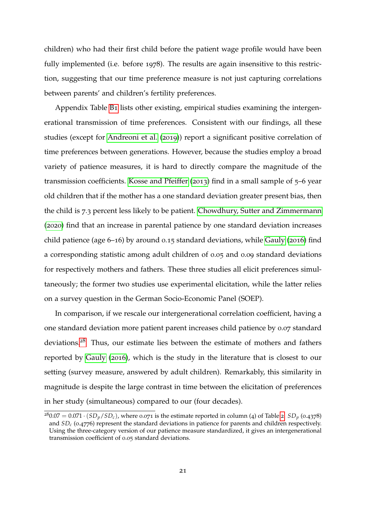children) who had their first child before the patient wage profile would have been fully implemented (i.e. before 1978). The results are again insensitive to this restriction, suggesting that our time preference measure is not just capturing correlations between parents' and children's fertility preferences.

Appendix Table [B](#page-61-0)1 lists other existing, empirical studies examining the intergenerational transmission of time preferences. Consistent with our findings, all these studies (except for [Andreoni et al.](#page-37-5) ([2019](#page-37-5))) report a significant positive correlation of time preferences between generations. However, because the studies employ a broad variety of patience measures, it is hard to directly compare the magnitude of the transmission coefficients. [Kosse and Pfeiffer](#page-41-6) ([2013](#page-41-6)) find in a small sample of 5–6 year old children that if the mother has a one standard deviation greater present bias, then the child is 7.3 percent less likely to be patient. [Chowdhury, Sutter and Zimmermann](#page-39-4) ([2020](#page-39-4)) find that an increase in parental patience by one standard deviation increases child patience (age 6–16) by around 0.15 standard deviations, while [Gauly](#page-41-3) ([2016](#page-41-3)) find a corresponding statistic among adult children of 0.05 and 0.09 standard deviations for respectively mothers and fathers. These three studies all elicit preferences simultaneously; the former two studies use experimental elicitation, while the latter relies on a survey question in the German Socio-Economic Panel (SOEP).

In comparison, if we rescale our intergenerational correlation coefficient, having a one standard deviation more patient parent increases child patience by 0.07 standard deviations.[28](#page-21-0) Thus, our estimate lies between the estimate of mothers and fathers reported by [Gauly](#page-41-3) ([2016](#page-41-3)), which is the study in the literature that is closest to our setting (survey measure, answered by adult children). Remarkably, this similarity in magnitude is despite the large contrast in time between the elicitation of preferences in her study (simultaneous) compared to our (four decades).

<span id="page-21-0"></span> $280.07 = 0.071 \cdot (SD_p/SD_c)$  $280.07 = 0.071 \cdot (SD_p/SD_c)$ , where 0.071 is the estimate reported in column (4) of Table 2.  $SD_p$  (0.4378) and *SD<sup>c</sup>* (0.4776) represent the standard deviations in patience for parents and children respectively. Using the three-category version of our patience measure standardized, it gives an intergenerational transmission coefficient of 0.05 standard deviations.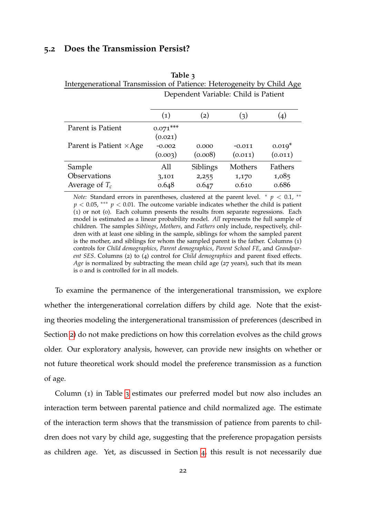#### **5.2 Does the Transmission Persist?**

|                                | Dependent Variable: Child is Patient |          |          |          |  |  |
|--------------------------------|--------------------------------------|----------|----------|----------|--|--|
|                                | (1)                                  | (2)      | (3)      |          |  |  |
| Parent is Patient              | $0.071***$                           |          |          |          |  |  |
|                                | (0.021)                              |          |          |          |  |  |
| Parent is Patient $\times$ Age | $-0.002$                             | 0.000    | $-0.011$ | $0.019*$ |  |  |
|                                | (0.003)                              | (0.008)  | (0.011)  | (0.011)  |  |  |
| Sample                         | All                                  | Siblings | Mothers  | Fathers  |  |  |
| Observations                   | 3,101                                | 2,255    | 1,170    | 1,085    |  |  |
| Average of $T_c$               | 0.648                                | 0.647    | 0.610    | 0.686    |  |  |

<span id="page-22-0"></span>**Table 3** Intergenerational Transmission of Patience: Heterogeneity by Child Age

*Note:* Standard errors in parentheses, clustered at the parent level.  $* p < 0.1$ ,  $**$  $p < 0.05$ , \*\*\*  $p < 0.01$ . The outcome variable indicates whether the child is patient (1) or not (0). Each column presents the results from separate regressions. Each model is estimated as a linear probability model. *All* represents the full sample of children. The samples *Siblings*, *Mothers*, and *Fathers* only include, respectively, children with at least one sibling in the sample, siblings for whom the sampled parent is the mother, and siblings for whom the sampled parent is the father. Columns (1) controls for *Child demographics*, *Parent demographics*, *Parent School FE*, and *Grandparent SES*. Columns (2) to (4) control for *Child demographics* and parent fixed effects. *Age* is normalized by subtracting the mean child age (27 years), such that its mean is 0 and is controlled for in all models.

To examine the permanence of the intergenerational transmission, we explore whether the intergenerational correlation differs by child age. Note that the existing theories modeling the intergenerational transmission of preferences (described in Section [2](#page-4-0)) do not make predictions on how this correlation evolves as the child grows older. Our exploratory analysis, however, can provide new insights on whether or not future theoretical work should model the preference transmission as a function of age.

Column (1) in Table [3](#page-22-0) estimates our preferred model but now also includes an interaction term between parental patience and child normalized age. The estimate of the interaction term shows that the transmission of patience from parents to children does not vary by child age, suggesting that the preference propagation persists as children age. Yet, as discussed in Section [4](#page-15-0), this result is not necessarily due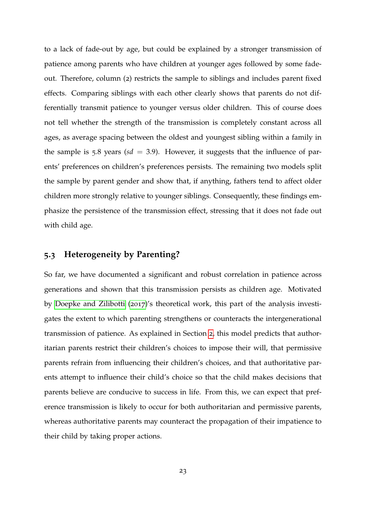to a lack of fade-out by age, but could be explained by a stronger transmission of patience among parents who have children at younger ages followed by some fadeout. Therefore, column (2) restricts the sample to siblings and includes parent fixed effects. Comparing siblings with each other clearly shows that parents do not differentially transmit patience to younger versus older children. This of course does not tell whether the strength of the transmission is completely constant across all ages, as average spacing between the oldest and youngest sibling within a family in the sample is  $5.8$  years ( $sd = 3.9$ ). However, it suggests that the influence of parents' preferences on children's preferences persists. The remaining two models split the sample by parent gender and show that, if anything, fathers tend to affect older children more strongly relative to younger siblings. Consequently, these findings emphasize the persistence of the transmission effect, stressing that it does not fade out with child age.

### **5.3 Heterogeneity by Parenting?**

So far, we have documented a significant and robust correlation in patience across generations and shown that this transmission persists as children age. Motivated by [Doepke and Zilibotti](#page-39-3) ([2017](#page-39-3))'s theoretical work, this part of the analysis investigates the extent to which parenting strengthens or counteracts the intergenerational transmission of patience. As explained in Section [2](#page-4-0), this model predicts that authoritarian parents restrict their children's choices to impose their will, that permissive parents refrain from influencing their children's choices, and that authoritative parents attempt to influence their child's choice so that the child makes decisions that parents believe are conducive to success in life. From this, we can expect that preference transmission is likely to occur for both authoritarian and permissive parents, whereas authoritative parents may counteract the propagation of their impatience to their child by taking proper actions.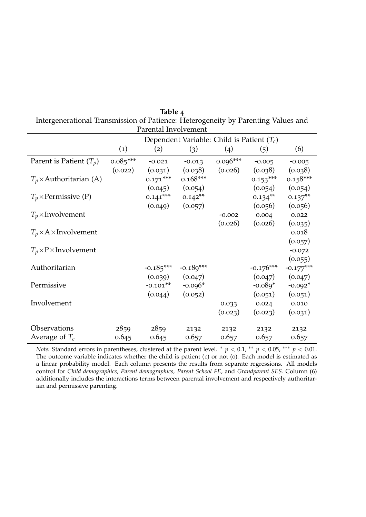|                                   |                   | Parental Involvement |                                              |            |             |                        |
|-----------------------------------|-------------------|----------------------|----------------------------------------------|------------|-------------|------------------------|
|                                   |                   |                      | Dependent Variable: Child is Patient $(T_c)$ |            |             |                        |
|                                   | $\left( 1\right)$ | (2)                  | (3)                                          | (4)        | (5)         | (6)                    |
| Parent is Patient $(T_p)$         | $0.085***$        | $-0.021$             | $-0.013$                                     | $0.096***$ | $-0.005$    | $-0.005$               |
|                                   | (0.022)           | (0.031)              | (0.038)                                      | (0.026)    | (0.038)     | (0.038)                |
| $T_p \times$ Authoritarian (A)    |                   | $0.171***$           | $0.168***$                                   |            | $0.153***$  | $0.158***$             |
|                                   |                   | (0.045)              | (0.054)                                      |            | (0.054)     | (0.054)                |
| $T_p \times$ Permissive (P)       |                   | $0.141***$           | $0.142**$                                    |            | $0.134***$  | $0.137***$             |
|                                   |                   | (0.049)              | (0.057)                                      |            | (0.056)     | (0.056)                |
| $T_p \times$ Involvement          |                   |                      |                                              | $-0.002$   | 0.004       | 0.022                  |
|                                   |                   |                      |                                              | (0.026)    | (0.026)     | (0.035)                |
| $T_p \times A \times$ Involvement |                   |                      |                                              |            |             | 0.018                  |
|                                   |                   |                      |                                              |            |             | (0.057)                |
| $T_p \times P \times Involvement$ |                   |                      |                                              |            |             | $-0.072$               |
| Authoritarian                     |                   | $-0.185***$          | $-0.189***$                                  |            | $-0.176***$ | (0.055)                |
|                                   |                   | (0.039)              | (0.047)                                      |            | (0.047)     | $-0.177***$<br>(0.047) |
| Permissive                        |                   | $-0.101**$           | $-0.096*$                                    |            | $-0.089*$   | $-0.092*$              |
|                                   |                   | (0.044)              | (0.052)                                      |            | (0.051)     | (0.051)                |
| Involvement                       |                   |                      |                                              | 0.033      | 0.024       | 0.010                  |
|                                   |                   |                      |                                              | (0.023)    | (0.023)     | (0.031)                |
|                                   |                   |                      |                                              |            |             |                        |
| Observations                      | 2859              | 2859                 | 2132                                         | 2132       | 2132        | 2132                   |
| Average of $T_c$                  | 0.645             | 0.645                | 0.657                                        | 0.657      | 0.657       | 0.657                  |

<span id="page-24-0"></span>**Table 4** Intergenerational Transmission of Patience: Heterogeneity by Parenting Values and

*Note:* Standard errors in parentheses, clustered at the parent level. \*  $p < 0.1$ , \*\*  $p < 0.05$ , \*\*\*  $p < 0.01$ . The outcome variable indicates whether the child is patient (1) or not (0). Each model is estimated as a linear probability model. Each column presents the results from separate regressions. All models control for *Child demographics*, *Parent demographics*, *Parent School FE*, and *Grandparent SES*. Column (6) additionally includes the interactions terms between parental involvement and respectively authoritarian and permissive parenting.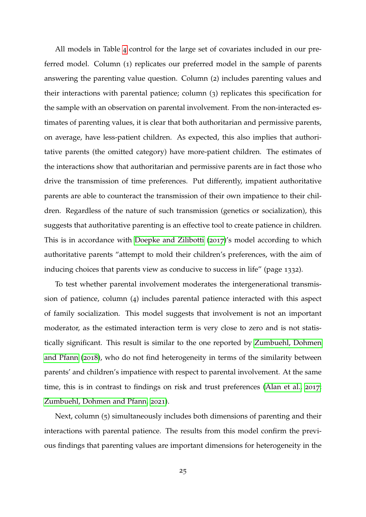All models in Table [4](#page-24-0) control for the large set of covariates included in our preferred model. Column (1) replicates our preferred model in the sample of parents answering the parenting value question. Column (2) includes parenting values and their interactions with parental patience; column (3) replicates this specification for the sample with an observation on parental involvement. From the non-interacted estimates of parenting values, it is clear that both authoritarian and permissive parents, on average, have less-patient children. As expected, this also implies that authoritative parents (the omitted category) have more-patient children. The estimates of the interactions show that authoritarian and permissive parents are in fact those who drive the transmission of time preferences. Put differently, impatient authoritative parents are able to counteract the transmission of their own impatience to their children. Regardless of the nature of such transmission (genetics or socialization), this suggests that authoritative parenting is an effective tool to create patience in children. This is in accordance with [Doepke and Zilibotti](#page-39-3) ([2017](#page-39-3))'s model according to which authoritative parents "attempt to mold their children's preferences, with the aim of inducing choices that parents view as conducive to success in life" (page 1332).

To test whether parental involvement moderates the intergenerational transmission of patience, column (4) includes parental patience interacted with this aspect of family socialization. This model suggests that involvement is not an important moderator, as the estimated interaction term is very close to zero and is not statistically significant. This result is similar to the one reported by [Zumbuehl, Dohmen](#page-43-3) [and Pfann](#page-43-3) ([2018](#page-43-3)), who do not find heterogeneity in terms of the similarity between parents' and children's impatience with respect to parental involvement. At the same time, this is in contrast to findings on risk and trust preferences [\(Alan et al.,](#page-37-2) [2017](#page-37-2); [Zumbuehl, Dohmen and Pfann,](#page-43-2) [2021](#page-43-2)).

Next, column (5) simultaneously includes both dimensions of parenting and their interactions with parental patience. The results from this model confirm the previous findings that parenting values are important dimensions for heterogeneity in the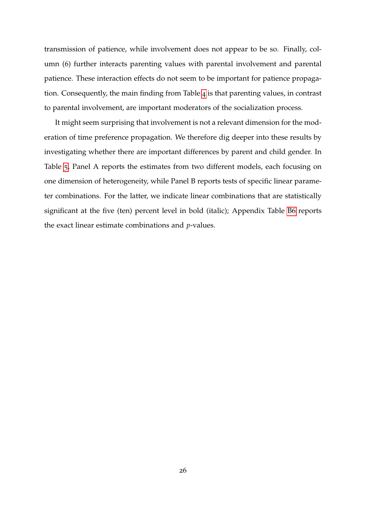transmission of patience, while involvement does not appear to be so. Finally, column (6) further interacts parenting values with parental involvement and parental patience. These interaction effects do not seem to be important for patience propagation. Consequently, the main finding from Table [4](#page-24-0) is that parenting values, in contrast to parental involvement, are important moderators of the socialization process.

It might seem surprising that involvement is not a relevant dimension for the moderation of time preference propagation. We therefore dig deeper into these results by investigating whether there are important differences by parent and child gender. In Table [5](#page-27-0), Panel A reports the estimates from two different models, each focusing on one dimension of heterogeneity, while Panel B reports tests of specific linear parameter combinations. For the latter, we indicate linear combinations that are statistically significant at the five (ten) percent level in bold (italic); Appendix Table [B](#page-65-0)6 reports the exact linear estimate combinations and *p*-values.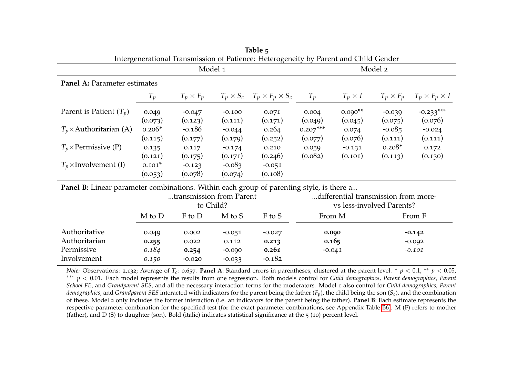| Intergenerational Transmission of Patience: Heterogeneity by Parent and Child Gender     |          |                          |          |                                              |                           |                                      |                  |                           |  |
|------------------------------------------------------------------------------------------|----------|--------------------------|----------|----------------------------------------------|---------------------------|--------------------------------------|------------------|---------------------------|--|
|                                                                                          |          | Model 1                  |          |                                              | Model 2                   |                                      |                  |                           |  |
| Panel A: Parameter estimates                                                             |          |                          |          |                                              |                           |                                      |                  |                           |  |
|                                                                                          | $T_p$    | $T_p \times F_p$         |          | $T_p \times S_c$ $T_p \times F_p \times S_c$ | $T_p$                     | $T_p \times I$                       | $T_p \times F_p$ | $T_p \times F_p \times I$ |  |
| Parent is Patient $(T_p)$                                                                | 0.049    | $-0.047$                 | $-0.100$ | 0.071                                        | 0.004                     | $0.090**$                            | $-0.039$         | $-0.233***$               |  |
|                                                                                          | (0.073)  | (0.123)                  | (0.111)  | (0.171)                                      | (0.049)                   | (0.045)                              | (0.075)          | (0.076)                   |  |
| $T_p \times$ Authoritarian (A)                                                           | $0.206*$ | $-0.186$                 | $-0.044$ | 0.264                                        | $0.207***$                | 0.074                                | $-0.085$         | $-0.024$                  |  |
|                                                                                          | (0.115)  | (0.177)                  | (0.179)  | (0.252)                                      | (0.077)                   | (0.076)                              | (0.111)          | (0.111)                   |  |
| $T_p \times$ Permissive (P)                                                              | 0.135    | 0.117                    | $-0.174$ | 0.210                                        | 0.059                     | $-0.131$                             | $0.208*$         | 0.172                     |  |
|                                                                                          | (0.121)  | (0.175)                  | (0.171)  | (0.246)                                      | (0.082)                   | (0.101)                              | (0.113)          | (0.130)                   |  |
| $T_p \times$ Involvement (I)                                                             | $0.101*$ | $-0.123$                 | $-0.083$ | $-0.051$                                     |                           |                                      |                  |                           |  |
|                                                                                          | (0.053)  | (0.078)                  | (0.074)  | (0.108)                                      |                           |                                      |                  |                           |  |
| Panel B: Linear parameter combinations. Within each group of parenting style, is there a |          |                          |          |                                              |                           |                                      |                  |                           |  |
|                                                                                          |          | transmission from Parent |          |                                              |                           | differential transmission from more- |                  |                           |  |
|                                                                                          |          | to Child?                |          |                                              | vs less-involved Parents? |                                      |                  |                           |  |
|                                                                                          | M to D   | F to D                   | M to S   | F to S                                       | From M                    |                                      |                  | From F                    |  |
| Authoritative                                                                            | 0.049    | 0.002                    | $-0.051$ | $-0.027$                                     | 0.090                     |                                      |                  | $-0.142$                  |  |
| Authoritarian                                                                            | 0.255    | 0.022                    | 0.112    | 0.213                                        | 0.165                     |                                      |                  | $-0.092$                  |  |
| Permissive                                                                               | 0.184    | 0.254                    | $-0.090$ | 0.261                                        | $-0.041$                  |                                      |                  | $-0.101$                  |  |
| Involvement                                                                              | 0.150    | $-0.020$                 | $-0.033$ | $-0.182$                                     |                           |                                      |                  |                           |  |

<span id="page-27-0"></span>**Table 5**

*Note:* Observations: <sup>2</sup>,132; Average of *<sup>T</sup>c*: <sup>0</sup>.657. **Panel <sup>A</sup>**: Standard errors in parentheses, clustered at the paren<sup>t</sup> level. <sup>∗</sup> *p* <sup>&</sup>lt; 0.1, ∗∗ *<sup>p</sup>* <sup>&</sup>lt; 0.05, ∗∗∗ *p* <sup>&</sup>lt; 0.01. Each model represents the results from one regression. Both models control for *Child demographics*, *Parent demographics*, *Parent School FE*, and *Grandparent SES*, and all the necessary interaction terms for the moderators. Model <sup>1</sup> also control for *Child demographics*, *Parent demographics*, and *Grandparent SES* interacted with indicators for the paren<sup>t</sup> being the father (*Fp*), the child being the son (*Sc*), and the combination of these. Model <sup>2</sup> only includes the former interaction (i.e. an indicators for the paren<sup>t</sup> being the father). **Panel <sup>B</sup>**: Each estimate represents the respective parameter combination for the specified test (for the exact parameter combinations, see Appendix Table [B](#page-65-1)6). <sup>M</sup> (F) refers to mother(father), and <sup>D</sup> (S) to daughter (son). Bold (italic) indicates statistical significance at the 5 (10) percen<sup>t</sup> level.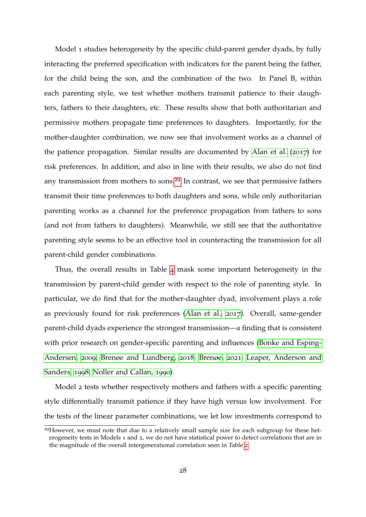Model 1 studies heterogeneity by the specific child-parent gender dyads, by fully interacting the preferred specification with indicators for the parent being the father, for the child being the son, and the combination of the two. In Panel B, within each parenting style, we test whether mothers transmit patience to their daughters, fathers to their daughters, etc. These results show that both authoritarian and permissive mothers propagate time preferences to daughters. Importantly, for the mother-daughter combination, we now see that involvement works as a channel of the patience propagation. Similar results are documented by [Alan et al.](#page-37-2) ([2017](#page-37-2)) for risk preferences. In addition, and also in line with their results, we also do not find any transmission from mothers to sons.<sup>[29](#page-28-0)</sup> In contrast, we see that permissive fathers transmit their time preferences to both daughters and sons, while only authoritarian parenting works as a channel for the preference propagation from fathers to sons (and not from fathers to daughters). Meanwhile, we still see that the authoritative parenting style seems to be an effective tool in counteracting the transmission for all parent-child gender combinations.

Thus, the overall results in Table [4](#page-24-0) mask some important heterogeneity in the transmission by parent-child gender with respect to the role of parenting style. In particular, we do find that for the mother-daughter dyad, involvement plays a role as previously found for risk preferences [\(Alan et al.,](#page-37-2) [2017](#page-37-2)). Overall, same-gender parent-child dyads experience the strongest transmission—a finding that is consistent with prior research on gender-specific parenting and influences [\(Bonke and Esping-](#page-38-5)[Andersen,](#page-38-5) [2009](#page-38-5); [Brenøe and Lundberg,](#page-38-6) [2018](#page-38-6); [Brenøe,](#page-38-7) [2021](#page-38-7); [Leaper, Anderson and](#page-41-7) [Sanders,](#page-41-7) [1998](#page-41-7); [Noller and Callan,](#page-42-8) [1990](#page-42-8)).

Model 2 tests whether respectively mothers and fathers with a specific parenting style differentially transmit patience if they have high versus low involvement. For the tests of the linear parameter combinations, we let low investments correspond to

<span id="page-28-0"></span><sup>&</sup>lt;sup>29</sup>However, we must note that due to a relatively small sample size for each subgroup for these heterogeneity tests in Models 1 and 2, we do not have statistical power to detect correlations that are in the magnitude of the overall intergenerational correlation seen in Table [2](#page-19-0).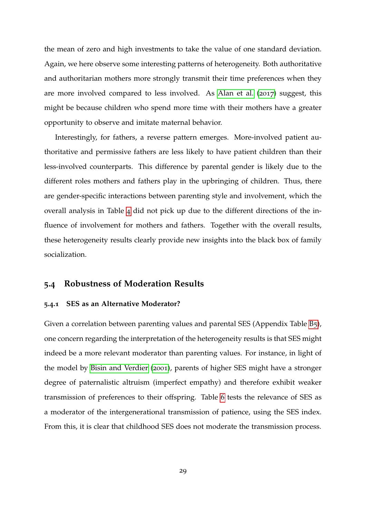the mean of zero and high investments to take the value of one standard deviation. Again, we here observe some interesting patterns of heterogeneity. Both authoritative and authoritarian mothers more strongly transmit their time preferences when they are more involved compared to less involved. As [Alan et al.](#page-37-2) ([2017](#page-37-2)) suggest, this might be because children who spend more time with their mothers have a greater opportunity to observe and imitate maternal behavior.

Interestingly, for fathers, a reverse pattern emerges. More-involved patient authoritative and permissive fathers are less likely to have patient children than their less-involved counterparts. This difference by parental gender is likely due to the different roles mothers and fathers play in the upbringing of children. Thus, there are gender-specific interactions between parenting style and involvement, which the overall analysis in Table [4](#page-24-0) did not pick up due to the different directions of the influence of involvement for mothers and fathers. Together with the overall results, these heterogeneity results clearly provide new insights into the black box of family socialization.

#### **5.4 Robustness of Moderation Results**

#### **5.4.1 SES as an Alternative Moderator?**

Given a correlation between parenting values and parental SES (Appendix Table [B](#page-64-0)5), one concern regarding the interpretation of the heterogeneity results is that SES might indeed be a more relevant moderator than parenting values. For instance, in light of the model by [Bisin and Verdier](#page-38-0) ([2001](#page-38-0)), parents of higher SES might have a stronger degree of paternalistic altruism (imperfect empathy) and therefore exhibit weaker transmission of preferences to their offspring. Table [6](#page-30-0) tests the relevance of SES as a moderator of the intergenerational transmission of patience, using the SES index. From this, it is clear that childhood SES does not moderate the transmission process.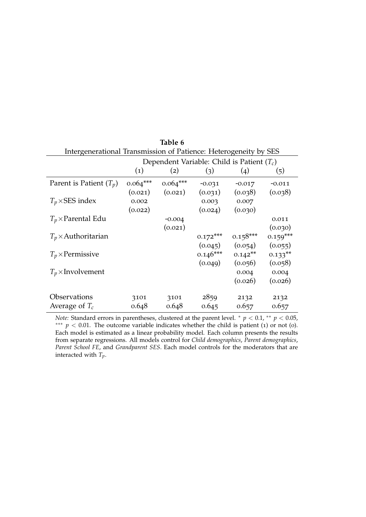<span id="page-30-0"></span>

| Table 6                                                          |                                              |            |            |            |            |  |  |  |  |  |
|------------------------------------------------------------------|----------------------------------------------|------------|------------|------------|------------|--|--|--|--|--|
| Intergenerational Transmission of Patience: Heterogeneity by SES |                                              |            |            |            |            |  |  |  |  |  |
|                                                                  | Dependent Variable: Child is Patient $(T_c)$ |            |            |            |            |  |  |  |  |  |
|                                                                  | $\left( 1\right)$                            | (2)        | (3)        | (4)        | (5)        |  |  |  |  |  |
| Parent is Patient $(T_p)$                                        | $0.064***$                                   | $0.064***$ | $-0.031$   | $-0.017$   | $-0.011$   |  |  |  |  |  |
|                                                                  | (0.021)                                      | (0.021)    | (0.031)    | (0.038)    | (0.038)    |  |  |  |  |  |
| $T_p \times$ SES index                                           | 0.002                                        |            | 0.003      | 0.007      |            |  |  |  |  |  |
|                                                                  | (0.022)                                      |            | (0.024)    | (0.030)    |            |  |  |  |  |  |
| $T_p \times$ Parental Edu                                        |                                              | $-0.004$   |            |            | 0.011      |  |  |  |  |  |
|                                                                  |                                              | (0.021)    |            |            | (0.030)    |  |  |  |  |  |
| $T_p \times$ Authoritarian                                       |                                              |            | $0.172***$ | $0.158***$ | $0.159***$ |  |  |  |  |  |
|                                                                  |                                              |            | (0.045)    | (0.054)    | (0.055)    |  |  |  |  |  |
| $T_p \times$ Permissive                                          |                                              |            | $0.146***$ | $0.142**$  | $0.133**$  |  |  |  |  |  |
|                                                                  |                                              |            | (0.049)    | (0.056)    | (0.058)    |  |  |  |  |  |
| $T_p \times$ Involvement                                         |                                              |            |            | 0.004      | 0.004      |  |  |  |  |  |
|                                                                  |                                              |            |            | (0.026)    | (0.026)    |  |  |  |  |  |
| Observations                                                     | 3101                                         | 3101       | 2859       | 2132       | 2132       |  |  |  |  |  |
| Average of $T_c$                                                 | 0.648                                        | 0.648      | 0.645      | 0.657      | 0.657      |  |  |  |  |  |

*Note:* Standard errors in parentheses, clustered at the parent level.  $*$   $p$  < 0.1,  $*$   $p$  < 0.05, <sup>\*\*\*</sup>  $p < 0.01$ . The outcome variable indicates whether the child is patient (1) or not (0). Each model is estimated as a linear probability model. Each column presents the results from separate regressions. All models control for *Child demographics*, *Parent demographics*, *Parent School FE*, and *Grandparent SES*. Each model controls for the moderators that are interacted with *Tp*.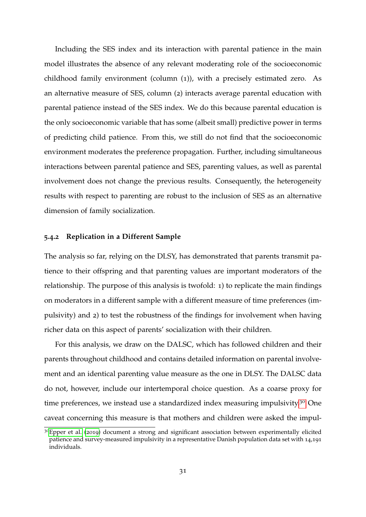Including the SES index and its interaction with parental patience in the main model illustrates the absence of any relevant moderating role of the socioeconomic childhood family environment (column (1)), with a precisely estimated zero. As an alternative measure of SES, column (2) interacts average parental education with parental patience instead of the SES index. We do this because parental education is the only socioeconomic variable that has some (albeit small) predictive power in terms of predicting child patience. From this, we still do not find that the socioeconomic environment moderates the preference propagation. Further, including simultaneous interactions between parental patience and SES, parenting values, as well as parental involvement does not change the previous results. Consequently, the heterogeneity results with respect to parenting are robust to the inclusion of SES as an alternative dimension of family socialization.

#### <span id="page-31-0"></span>**5.4.2 Replication in a Different Sample**

The analysis so far, relying on the DLSY, has demonstrated that parents transmit patience to their offspring and that parenting values are important moderators of the relationship. The purpose of this analysis is twofold: 1) to replicate the main findings on moderators in a different sample with a different measure of time preferences (impulsivity) and 2) to test the robustness of the findings for involvement when having richer data on this aspect of parents' socialization with their children.

For this analysis, we draw on the DALSC, which has followed children and their parents throughout childhood and contains detailed information on parental involvement and an identical parenting value measure as the one in DLSY. The DALSC data do not, however, include our intertemporal choice question. As a coarse proxy for time preferences, we instead use a standardized index measuring impulsivity.<sup>[30](#page-31-1)</sup> One caveat concerning this measure is that mothers and children were asked the impul-

<span id="page-31-1"></span> $30E$ pper et al. ([2019](#page-40-6)) document a strong and significant association between experimentally elicited patience and survey-measured impulsivity in a representative Danish population data set with 14,191 individuals.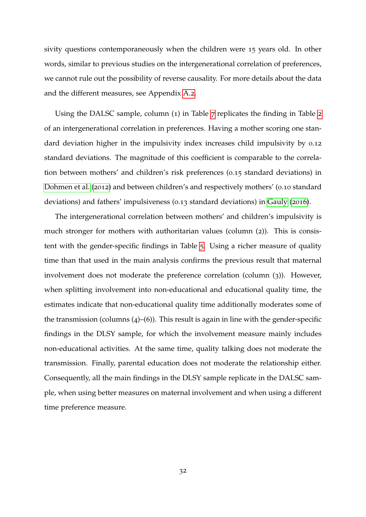sivity questions contemporaneously when the children were 15 years old. In other words, similar to previous studies on the intergenerational correlation of preferences, we cannot rule out the possibility of reverse causality. For more details about the data and the different measures, see Appendix [A.](#page-54-0)2.

Using the DALSC sample, column (1) in Table [7](#page-33-0) replicates the finding in Table [2](#page-19-0) of an intergenerational correlation in preferences. Having a mother scoring one standard deviation higher in the impulsivity index increases child impulsivity by 0.12 standard deviations. The magnitude of this coefficient is comparable to the correlation between mothers' and children's risk preferences (0.15 standard deviations) in [Dohmen et al.](#page-40-2) ([2012](#page-40-2)) and between children's and respectively mothers' (0.10 standard deviations) and fathers' impulsiveness (0.13 standard deviations) in [Gauly](#page-41-3) ([2016](#page-41-3)).

The intergenerational correlation between mothers' and children's impulsivity is much stronger for mothers with authoritarian values (column (2)). This is consistent with the gender-specific findings in Table [5](#page-27-0). Using a richer measure of quality time than that used in the main analysis confirms the previous result that maternal involvement does not moderate the preference correlation (column (3)). However, when splitting involvement into non-educational and educational quality time, the estimates indicate that non-educational quality time additionally moderates some of the transmission (columns  $(4)$ – $(6)$ ). This result is again in line with the gender-specific findings in the DLSY sample, for which the involvement measure mainly includes non-educational activities. At the same time, quality talking does not moderate the transmission. Finally, parental education does not moderate the relationship either. Consequently, all the main findings in the DLSY sample replicate in the DALSC sample, when using better measures on maternal involvement and when using a different time preference measure.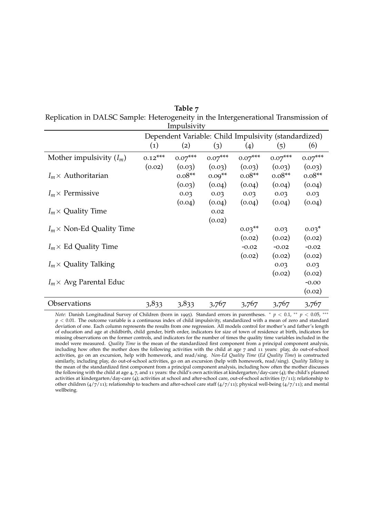<span id="page-33-0"></span>

|                                                                                     | Table 7     |  |
|-------------------------------------------------------------------------------------|-------------|--|
| Replication in DALSC Sample: Heterogeneity in the Intergenerational Transmission of |             |  |
|                                                                                     | Impulsivity |  |

|                                  | Dependent Variable: Child Impulsivity (standardized) |            |           |           |           |           |
|----------------------------------|------------------------------------------------------|------------|-----------|-----------|-----------|-----------|
|                                  | $\left( 1\right)$                                    | (2)        | (3)       | (4)       | (5)       | (6)       |
| Mother impulsivity $(I_m)$       | $0.12***$                                            | $0.07$ *** | $0.07***$ | $0.07***$ | $0.07***$ | $0.07***$ |
|                                  | (0.02)                                               | (0.03)     | (0.03)    | (0.03)    | (0.03)    | (0.03)    |
| $I_m \times$ Authoritarian       |                                                      | $0.08**$   | $0.09**$  | $0.08**$  | $0.08**$  | $0.08**$  |
|                                  |                                                      | (0.03)     | (0.04)    | (0.04)    | (0.04)    | (0.04)    |
| $I_m \times$ Permissive          |                                                      | 0.03       | 0.03      | 0.03      | 0.03      | 0.03      |
|                                  |                                                      | (0.04)     | (0.04)    | (0.04)    | (0.04)    | (0.04)    |
| $I_m \times$ Quality Time        |                                                      |            | 0.02      |           |           |           |
|                                  |                                                      |            | (0.02)    |           |           |           |
| $I_m \times$ Non-Ed Quality Time |                                                      |            |           | $0.03**$  | 0.03      | $0.03*$   |
|                                  |                                                      |            |           | (0.02)    | (0.02)    | (0.02)    |
| $I_m \times$ Ed Quality Time     |                                                      |            |           | $-0.02$   | $-0.02$   | $-0.02$   |
|                                  |                                                      |            |           | (0.02)    | (0.02)    | (0.02)    |
| $I_m \times$ Quality Talking     |                                                      |            |           |           | 0.03      | 0.03      |
|                                  |                                                      |            |           |           | (0.02)    | (0.02)    |
| $I_m \times$ Avg Parental Educ   |                                                      |            |           |           |           | $-0.00$   |
|                                  |                                                      |            |           |           |           | (0.02)    |
| Observations                     | 3,833                                                | 3,833      | 3,767     | 3,767     | 3,767     | 3,767     |

*Note*: Danish Longitudinal Survey of Children (born in 1995). Standard errors in parentheses. <sup>∗</sup> *p* < 0.1, ∗∗ *p* < 0.05, ∗∗∗ *p* < 0.01. The outcome variable is a continuous index of child impulsivity, standardized with a mean of zero and standard deviation of one. Each column represents the results from one regression. All models control for mother's and father's length of education and age at childbirth, child gender, birth order, indicators for size of town of residence at birth, indicators for missing observations on the former controls, and indicators for the number of times the quality time variables included in the model were measured. *Quality Time* is the mean of the standardized first component from a principal component analysis, including how often the mother does the following activities with the child at age 7 and 11 years: play, do out-of-school activities, go on an excursion, help with homework, and read/sing. *Non-Ed Quality Time* (*Ed Quality Time*) is constructed similarly, including play, do out-of-school activities, go on an excursion (help with homework, read/sing). *Quality Talking* is the mean of the standardized first component from a principal component analysis, including how often the mother discusses the following with the child at age 4, 7, and 11 years: the child's own activities at kindergarten/day-care (4); the child's planned activities at kindergarten/day-care (4); activities at school and after-school care, out-of-school activities (7/11); relationship to other children ( $4/7/11$ ); relationship to teachers and after-school care staff ( $4/7/11$ ); physical well-being ( $4/7/11$ ); and mental wellbeing.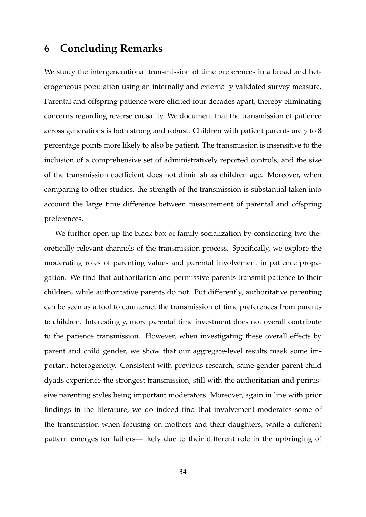### <span id="page-34-0"></span>**6 Concluding Remarks**

We study the intergenerational transmission of time preferences in a broad and heterogeneous population using an internally and externally validated survey measure. Parental and offspring patience were elicited four decades apart, thereby eliminating concerns regarding reverse causality. We document that the transmission of patience across generations is both strong and robust. Children with patient parents are 7 to 8 percentage points more likely to also be patient. The transmission is insensitive to the inclusion of a comprehensive set of administratively reported controls, and the size of the transmission coefficient does not diminish as children age. Moreover, when comparing to other studies, the strength of the transmission is substantial taken into account the large time difference between measurement of parental and offspring preferences.

We further open up the black box of family socialization by considering two theoretically relevant channels of the transmission process. Specifically, we explore the moderating roles of parenting values and parental involvement in patience propagation. We find that authoritarian and permissive parents transmit patience to their children, while authoritative parents do not. Put differently, authoritative parenting can be seen as a tool to counteract the transmission of time preferences from parents to children. Interestingly, more parental time investment does not overall contribute to the patience transmission. However, when investigating these overall effects by parent and child gender, we show that our aggregate-level results mask some important heterogeneity. Consistent with previous research, same-gender parent-child dyads experience the strongest transmission, still with the authoritarian and permissive parenting styles being important moderators. Moreover, again in line with prior findings in the literature, we do indeed find that involvement moderates some of the transmission when focusing on mothers and their daughters, while a different pattern emerges for fathers—likely due to their different role in the upbringing of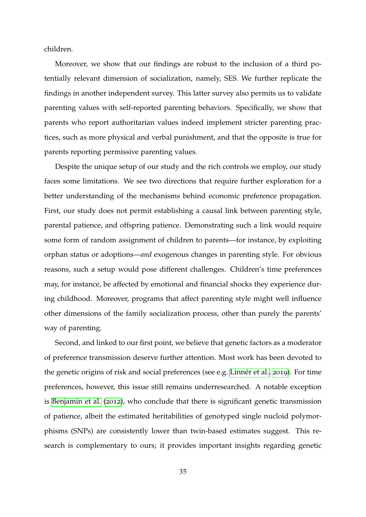children.

Moreover, we show that our findings are robust to the inclusion of a third potentially relevant dimension of socialization, namely, SES. We further replicate the findings in another independent survey. This latter survey also permits us to validate parenting values with self-reported parenting behaviors. Specifically, we show that parents who report authoritarian values indeed implement stricter parenting practices, such as more physical and verbal punishment, and that the opposite is true for parents reporting permissive parenting values.

Despite the unique setup of our study and the rich controls we employ, our study faces some limitations. We see two directions that require further exploration for a better understanding of the mechanisms behind economic preference propagation. First, our study does not permit establishing a causal link between parenting style, parental patience, and offspring patience. Demonstrating such a link would require some form of random assignment of children to parents—for instance, by exploiting orphan status or adoptions—*and* exogenous changes in parenting style. For obvious reasons, such a setup would pose different challenges. Children's time preferences may, for instance, be affected by emotional and financial shocks they experience during childhood. Moreover, programs that affect parenting style might well influence other dimensions of the family socialization process, other than purely the parents' way of parenting.

Second, and linked to our first point, we believe that genetic factors as a moderator of preference transmission deserve further attention. Most work has been devoted to the genetic origins of risk and social preferences (see e.g. Linnér et al., [2019](#page-41-8)). For time preferences, however, this issue still remains underresearched. A notable exception is [Benjamin et al.](#page-38-4) ([2012](#page-38-4)), who conclude that there is significant genetic transmission of patience, albeit the estimated heritabilities of genotyped single nucloid polymorphisms (SNPs) are consistently lower than twin-based estimates suggest. This research is complementary to ours; it provides important insights regarding genetic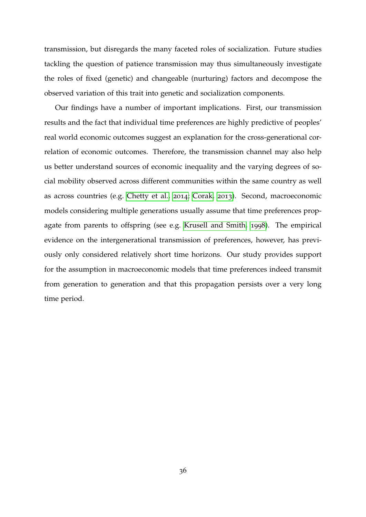transmission, but disregards the many faceted roles of socialization. Future studies tackling the question of patience transmission may thus simultaneously investigate the roles of fixed (genetic) and changeable (nurturing) factors and decompose the observed variation of this trait into genetic and socialization components.

Our findings have a number of important implications. First, our transmission results and the fact that individual time preferences are highly predictive of peoples' real world economic outcomes suggest an explanation for the cross-generational correlation of economic outcomes. Therefore, the transmission channel may also help us better understand sources of economic inequality and the varying degrees of social mobility observed across different communities within the same country as well as across countries (e.g. [Chetty et al.,](#page-39-2) [2014](#page-39-2); [Corak,](#page-39-9) [2013](#page-39-9)). Second, macroeconomic models considering multiple generations usually assume that time preferences propagate from parents to offspring (see e.g. [Krusell and Smith,](#page-41-9) [1998](#page-41-9)). The empirical evidence on the intergenerational transmission of preferences, however, has previously only considered relatively short time horizons. Our study provides support for the assumption in macroeconomic models that time preferences indeed transmit from generation to generation and that this propagation persists over a very long time period.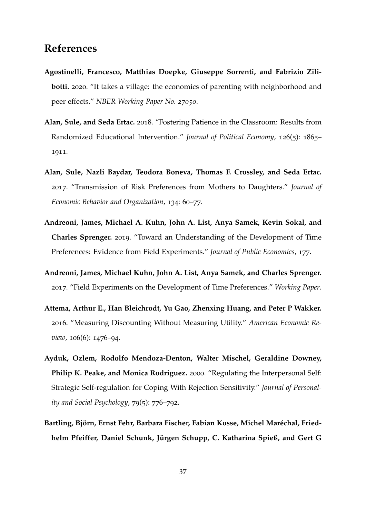### <span id="page-37-7"></span><span id="page-37-6"></span>**References**

- <span id="page-37-4"></span>**Agostinelli, Francesco, Matthias Doepke, Giuseppe Sorrenti, and Fabrizio Zilibotti.** 2020. "It takes a village: the economics of parenting with neighborhood and peer effects." *NBER Working Paper No. 27050*.
- <span id="page-37-1"></span>**Alan, Sule, and Seda Ertac.** 2018. "Fostering Patience in the Classroom: Results from Randomized Educational Intervention." *Journal of Political Economy*, 126(5): 1865– 1911.
- <span id="page-37-2"></span>**Alan, Sule, Nazli Baydar, Teodora Boneva, Thomas F. Crossley, and Seda Ertac.** 2017. "Transmission of Risk Preferences from Mothers to Daughters." *Journal of Economic Behavior and Organization*, 134: 60–77.
- <span id="page-37-5"></span>**Andreoni, James, Michael A. Kuhn, John A. List, Anya Samek, Kevin Sokal, and Charles Sprenger.** 2019. "Toward an Understanding of the Development of Time Preferences: Evidence from Field Experiments." *Journal of Public Economics*, 177.
- **Andreoni, James, Michael Kuhn, John A. List, Anya Samek, and Charles Sprenger.** 2017. "Field Experiments on the Development of Time Preferences." *Working Paper*.
- <span id="page-37-3"></span>**Attema, Arthur E., Han Bleichrodt, Yu Gao, Zhenxing Huang, and Peter P Wakker.** 2016. "Measuring Discounting Without Measuring Utility." *American Economic Review*, 106(6): 1476–94.
- <span id="page-37-0"></span>**Ayduk, Ozlem, Rodolfo Mendoza-Denton, Walter Mischel, Geraldine Downey, Philip K. Peake, and Monica Rodriguez.** 2000. "Regulating the Interpersonal Self: Strategic Self-regulation for Coping With Rejection Sensitivity." *Journal of Personality and Social Psychology*, 79(5): 776–792.
- Bartling, Björn, Ernst Fehr, Barbara Fischer, Fabian Kosse, Michel Maréchal, Friedhelm Pfeiffer, Daniel Schunk, Jürgen Schupp, C. Katharina Spieß, and Gert G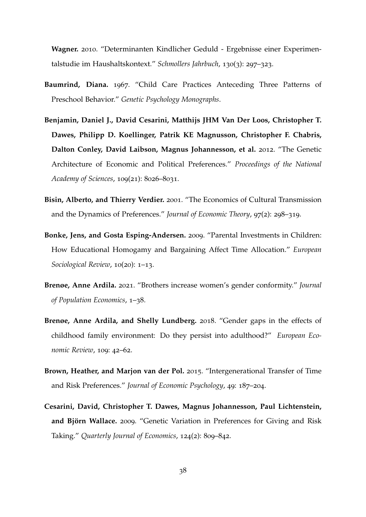<span id="page-38-8"></span>**Wagner.** 2010. "Determinanten Kindlicher Geduld - Ergebnisse einer Experimentalstudie im Haushaltskontext." *Schmollers Jahrbuch*, 130(3): 297–323.

- <span id="page-38-2"></span>**Baumrind, Diana.** 1967. "Child Care Practices Anteceding Three Patterns of Preschool Behavior." *Genetic Psychology Monographs*.
- <span id="page-38-4"></span>**Benjamin, Daniel J., David Cesarini, Matthijs JHM Van Der Loos, Christopher T. Dawes, Philipp D. Koellinger, Patrik KE Magnusson, Christopher F. Chabris, Dalton Conley, David Laibson, Magnus Johannesson, et al.** 2012. "The Genetic Architecture of Economic and Political Preferences." *Proceedings of the National Academy of Sciences*, 109(21): 8026–8031.
- <span id="page-38-0"></span>**Bisin, Alberto, and Thierry Verdier.** 2001. "The Economics of Cultural Transmission and the Dynamics of Preferences." *Journal of Economic Theory*, 97(2): 298–319.
- <span id="page-38-5"></span>**Bonke, Jens, and Gosta Esping-Andersen.** 2009. "Parental Investments in Children: How Educational Homogamy and Bargaining Affect Time Allocation." *European Sociological Review*, 10(20): 1–13.
- <span id="page-38-7"></span>**Brenøe, Anne Ardila.** 2021. "Brothers increase women's gender conformity." *Journal of Population Economics*, 1–38.
- <span id="page-38-6"></span>**Brenøe, Anne Ardila, and Shelly Lundberg.** 2018. "Gender gaps in the effects of childhood family environment: Do they persist into adulthood?" *European Economic Review*, 109: 42–62.
- <span id="page-38-1"></span>**Brown, Heather, and Marjon van der Pol.** 2015. "Intergenerational Transfer of Time and Risk Preferences." *Journal of Economic Psychology*, 49: 187–204.
- <span id="page-38-3"></span>**Cesarini, David, Christopher T. Dawes, Magnus Johannesson, Paul Lichtenstein,** and Björn Wallace. 2009. "Genetic Variation in Preferences for Giving and Risk Taking." *Quarterly Journal of Economics*, 124(2): 809–842.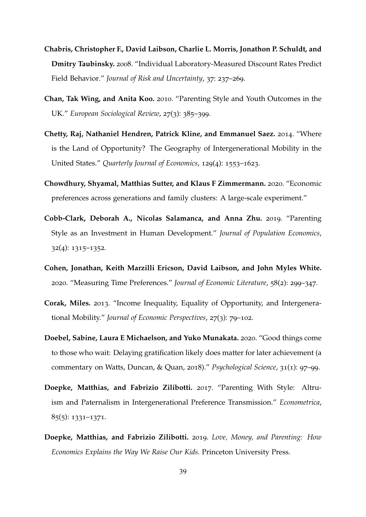- <span id="page-39-10"></span><span id="page-39-0"></span>**Chabris, Christopher F., David Laibson, Charlie L. Morris, Jonathon P. Schuldt, and Dmitry Taubinsky.** 2008. "Individual Laboratory-Measured Discount Rates Predict Field Behavior." *Journal of Risk and Uncertainty*, 37: 237–269.
- <span id="page-39-8"></span>**Chan, Tak Wing, and Anita Koo.** 2010. "Parenting Style and Youth Outcomes in the UK." *European Sociological Review*, 27(3): 385–399.
- <span id="page-39-2"></span>**Chetty, Raj, Nathaniel Hendren, Patrick Kline, and Emmanuel Saez.** 2014. "Where is the Land of Opportunity? The Geography of Intergenerational Mobility in the United States." *Quarterly Journal of Economics*, 129(4): 1553–1623.
- <span id="page-39-4"></span>**Chowdhury, Shyamal, Matthias Sutter, and Klaus F Zimmermann.** 2020. "Economic preferences across generations and family clusters: A large-scale experiment."
- <span id="page-39-5"></span>**Cobb-Clark, Deborah A., Nicolas Salamanca, and Anna Zhu.** 2019. "Parenting Style as an Investment in Human Development." *Journal of Population Economics*, 32(4): 1315–1352.
- <span id="page-39-7"></span>**Cohen, Jonathan, Keith Marzilli Ericson, David Laibson, and John Myles White.** 2020. "Measuring Time Preferences." *Journal of Economic Literature*, 58(2): 299–347.
- <span id="page-39-9"></span>**Corak, Miles.** 2013. "Income Inequality, Equality of Opportunity, and Intergenerational Mobility." *Journal of Economic Perspectives*, 27(3): 79–102.
- <span id="page-39-1"></span>**Doebel, Sabine, Laura E Michaelson, and Yuko Munakata.** 2020. "Good things come to those who wait: Delaying gratification likely does matter for later achievement (a commentary on Watts, Duncan, & Quan, 2018)." *Psychological Science*, 31(1): 97–99.
- <span id="page-39-3"></span>**Doepke, Matthias, and Fabrizio Zilibotti.** 2017. "Parenting With Style: Altruism and Paternalism in Intergenerational Preference Transmission." *Econometrica*, 85(5): 1331–1371.
- <span id="page-39-6"></span>**Doepke, Matthias, and Fabrizio Zilibotti.** 2019. *Love, Money, and Parenting: How Economics Explains the Way We Raise Our Kids.* Princeton University Press.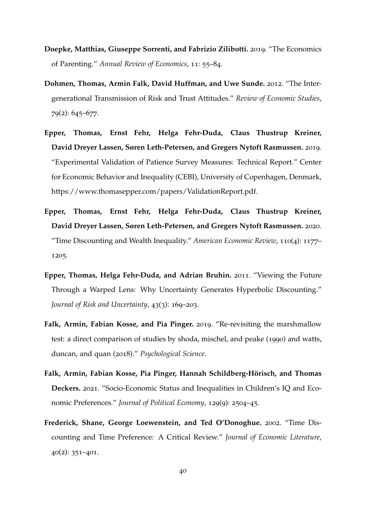- <span id="page-40-7"></span>**Doepke, Matthias, Giuseppe Sorrenti, and Fabrizio Zilibotti.** 2019. "The Economics of Parenting." *Annual Review of Economics*, 11: 55–84.
- <span id="page-40-2"></span>**Dohmen, Thomas, Armin Falk, David Huffman, and Uwe Sunde.** 2012. "The Intergenerational Transmission of Risk and Trust Attitudes." *Review of Economic Studies*, 79(2): 645–677.
- <span id="page-40-6"></span>**Epper, Thomas, Ernst Fehr, Helga Fehr-Duda, Claus Thustrup Kreiner, David Dreyer Lassen, Søren Leth-Petersen, and Gregers Nytoft Rasmussen.** 2019. "Experimental Validation of Patience Survey Measures: Technical Report." Center for Economic Behavior and Inequality (CEBI), University of Copenhagen, Denmark, https://www.thomasepper.com/papers/ValidationReport.pdf.
- <span id="page-40-0"></span>**Epper, Thomas, Ernst Fehr, Helga Fehr-Duda, Claus Thustrup Kreiner, David Dreyer Lassen, Søren Leth-Petersen, and Gregers Nytoft Rasmussen.** 2020. "Time Discounting and Wealth Inequality." *American Economic Review*, 110(4): 1177– 1205.
- <span id="page-40-5"></span>**Epper, Thomas, Helga Fehr-Duda, and Adrian Bruhin.** 2011. "Viewing the Future Through a Warped Lens: Why Uncertainty Generates Hyperbolic Discounting." *Journal of Risk and Uncertainty*, 43(3): 169–203.
- <span id="page-40-1"></span>**Falk, Armin, Fabian Kosse, and Pia Pinger.** 2019. "Re-revisiting the marshmallow test: a direct comparison of studies by shoda, mischel, and peake (1990) and watts, duncan, and quan (2018)." *Psychological Science*.
- <span id="page-40-3"></span>Falk, Armin, Fabian Kosse, Pia Pinger, Hannah Schildberg-Hörisch, and Thomas **Deckers.** 2021. "Socio-Economic Status and Inequalities in Children's IQ and Economic Preferences." *Journal of Political Economy*, 129(9): 2504–45.
- <span id="page-40-4"></span>**Frederick, Shane, George Loewenstein, and Ted O'Donoghue.** 2002. "Time Discounting and Time Preference: A Critical Review." *Journal of Economic Literature*, 40(2): 351–401.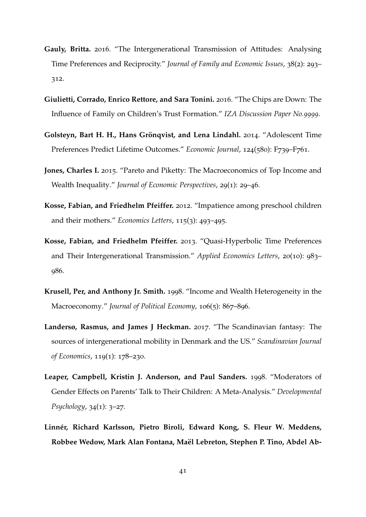- <span id="page-41-11"></span><span id="page-41-10"></span><span id="page-41-3"></span>**Gauly, Britta.** 2016. "The Intergenerational Transmission of Attitudes: Analysing Time Preferences and Reciprocity." *Journal of Family and Economic Issues*, 38(2): 293– 312.
- <span id="page-41-4"></span>**Giulietti, Corrado, Enrico Rettore, and Sara Tonini.** 2016. "The Chips are Down: The Influence of Family on Children's Trust Formation." *IZA Discussion Paper No.9999*.
- <span id="page-41-0"></span>**Golsteyn, Bart H. H., Hans Grönqvist, and Lena Lindahl.** 2014. "Adolescent Time Preferences Predict Lifetime Outcomes." *Economic Journal*, 124(580): F739–F761.
- <span id="page-41-1"></span>**Jones, Charles I.** 2015. "Pareto and Piketty: The Macroeconomics of Top Income and Wealth Inequality." *Journal of Economic Perspectives*, 29(1): 29–46.
- <span id="page-41-5"></span>**Kosse, Fabian, and Friedhelm Pfeiffer.** 2012. "Impatience among preschool children and their mothers." *Economics Letters*, 115(3): 493–495.
- <span id="page-41-6"></span>**Kosse, Fabian, and Friedhelm Pfeiffer.** 2013. "Quasi-Hyperbolic Time Preferences and Their Intergenerational Transmission." *Applied Economics Letters*, 20(10): 983– 986.
- <span id="page-41-9"></span>**Krusell, Per, and Anthony Jr. Smith.** 1998. "Income and Wealth Heterogeneity in the Macroeconomy." *Journal of Political Economy*, 106(5): 867–896.
- <span id="page-41-2"></span>**Landersø, Rasmus, and James J Heckman.** 2017. "The Scandinavian fantasy: The sources of intergenerational mobility in Denmark and the US." *Scandinavian Journal of Economics*, 119(1): 178–230.
- <span id="page-41-7"></span>**Leaper, Campbell, Kristin J. Anderson, and Paul Sanders.** 1998. "Moderators of Gender Effects on Parents' Talk to Their Children: A Meta-Analysis." *Developmental Psychology*, 34(1): 3–27.
- <span id="page-41-8"></span>**Linner, Richard Karlsson, Pietro Biroli, Edward Kong, S. Fleur W. Meddens, ´ Robbee Wedow, Mark Alan Fontana, Mael Lebreton, Stephen P. Tino, Abdel Ab- ¨**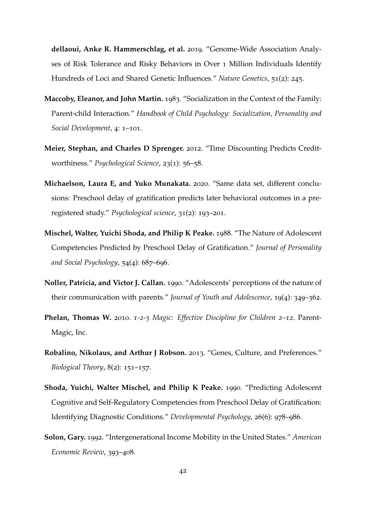**dellaoui, Anke R. Hammerschlag, et al.** 2019. "Genome-Wide Association Analyses of Risk Tolerance and Risky Behaviors in Over 1 Million Individuals Identify Hundreds of Loci and Shared Genetic Influences." *Nature Genetics*, 51(2): 245.

- <span id="page-42-6"></span>**Maccoby, Eleanor, and John Martin.** 1983. "Socialization in the Context of the Family: Parent-child Interaction." *Handbook of Child Psychology: Socialization, Personality and Social Development*, 4: 1–101.
- <span id="page-42-2"></span>**Meier, Stephan, and Charles D Sprenger.** 2012. "Time Discounting Predicts Creditworthiness." *Psychological Science*, 23(1): 56–58.
- <span id="page-42-3"></span>**Michaelson, Laura E, and Yuko Munakata.** 2020. "Same data set, different conclusions: Preschool delay of gratification predicts later behavioral outcomes in a preregistered study." *Psychological science*, 31(2): 193–201.
- <span id="page-42-0"></span>**Mischel, Walter, Yuichi Shoda, and Philip K Peake.** 1988. "The Nature of Adolescent Competencies Predicted by Preschool Delay of Gratification." *Journal of Personality and Social Psychology*, 54(4): 687–696.
- <span id="page-42-8"></span>**Noller, Patricia, and Victor J. Callan.** 1990. "Adolescents' perceptions of the nature of their communication with parents." *Journal of Youth and Adolescence*, 19(4): 349–362.
- <span id="page-42-5"></span>**Phelan, Thomas W.** 2010. *1-2-3 Magic: Effective Discipline for Children 2–12.* Parent-Magic, Inc.
- <span id="page-42-7"></span>**Robalino, Nikolaus, and Arthur J Robson.** 2013. "Genes, Culture, and Preferences." *Biological Theory*, 8(2): 151–157.
- <span id="page-42-1"></span>**Shoda, Yuichi, Walter Mischel, and Philip K Peake.** 1990. "Predicting Adolescent Cognitive and Self-Regulatory Competencies from Preschool Delay of Gratification: Identifying Diagnostic Conditions." *Developmental Psychology*, 26(6): 978–986.
- <span id="page-42-4"></span>**Solon, Gary.** 1992. "Intergenerational Income Mobility in the United States." *American Economic Review*, 393–408.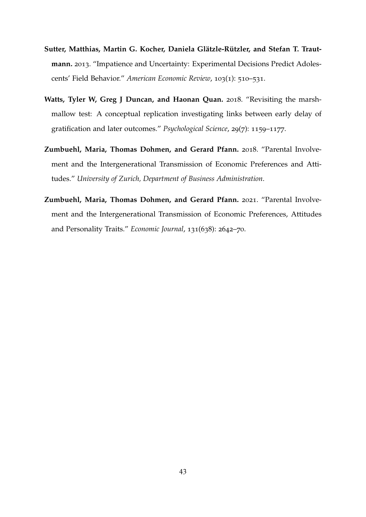- <span id="page-43-0"></span>**Sutter, Matthias, Martin G. Kocher, Daniela Glatzle-R ¨ utzler, and Stefan T. Traut- ¨ mann.** 2013. "Impatience and Uncertainty: Experimental Decisions Predict Adolescents' Field Behavior." *American Economic Review*, 103(1): 510–531.
- <span id="page-43-1"></span>**Watts, Tyler W, Greg J Duncan, and Haonan Quan.** 2018. "Revisiting the marshmallow test: A conceptual replication investigating links between early delay of gratification and later outcomes." *Psychological Science*, 29(7): 1159–1177.
- <span id="page-43-3"></span>**Zumbuehl, Maria, Thomas Dohmen, and Gerard Pfann.** 2018. "Parental Involvement and the Intergenerational Transmission of Economic Preferences and Attitudes." *University of Zurich, Department of Business Administration*.
- <span id="page-43-2"></span>**Zumbuehl, Maria, Thomas Dohmen, and Gerard Pfann.** 2021. "Parental Involvement and the Intergenerational Transmission of Economic Preferences, Attitudes and Personality Traits." *Economic Journal*, 131(638): 2642–70.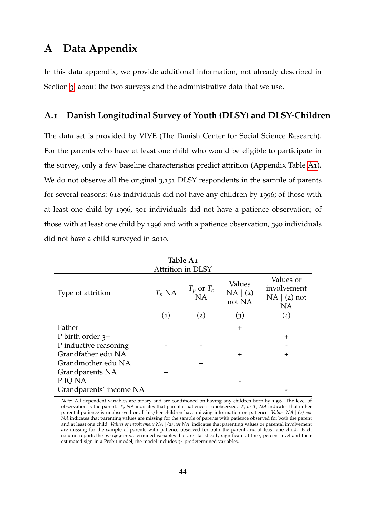### <span id="page-44-0"></span>**A Data Appendix**

In this data appendix, we provide additional information, not already described in Section [3](#page-8-0), about the two surveys and the administrative data that we use.

#### **A.1 Danish Longitudinal Survey of Youth (DLSY) and DLSY-Children**

The data set is provided by VIVE (The Danish Center for Social Science Research). For the parents who have at least one child who would be eligible to participate in the survey, only a few baseline characteristics predict attrition (Appendix Table [A](#page-44-1)1). We do not observe all the original 3,151 DLSY respondents in the sample of parents for several reasons: 618 individuals did not have any children by 1996; of those with at least one child by 1996, 301 individuals did not have a patience observation; of those with at least one child by 1996 and with a patience observation, 390 individuals did not have a child surveyed in 2010.

<span id="page-44-1"></span>

| Table A1                |                   |                      |                              |                                                       |  |  |  |  |  |
|-------------------------|-------------------|----------------------|------------------------------|-------------------------------------------------------|--|--|--|--|--|
| Attrition in DLSY       |                   |                      |                              |                                                       |  |  |  |  |  |
| Type of attrition       | $T_p$ NA          | $T_p$ or $T_c$<br>NA | Values<br>NA   (2)<br>not NA | Values or<br>involvement<br>NA   (2) not<br><b>NA</b> |  |  |  |  |  |
|                         | $\left( 1\right)$ | (2)                  | (3)                          | $\left( 4 \right)$                                    |  |  |  |  |  |
| Father                  |                   |                      | $^{+}$                       |                                                       |  |  |  |  |  |
| P birth order $3+$      |                   |                      |                              | $^{+}$                                                |  |  |  |  |  |
| P inductive reasoning   |                   |                      |                              |                                                       |  |  |  |  |  |
| Grandfather edu NA      |                   |                      | $\pm$                        | $^{+}$                                                |  |  |  |  |  |
| Grandmother edu NA      |                   | $^{+}$               |                              |                                                       |  |  |  |  |  |
| Grandparents NA         | $^{+}$            |                      |                              |                                                       |  |  |  |  |  |
| P IQ NA                 |                   |                      |                              |                                                       |  |  |  |  |  |
| Grandparents' income NA |                   |                      |                              |                                                       |  |  |  |  |  |

**Table A1**

*Note*: All dependent variables are binary and are conditioned on having any children born by 1996. The level of observation is the parent.  $T_p$  *NA* indicates that parental patience is unobserved.  $T_p$  *or*  $T_c$  *NA* indicates that either parental patience is unobserved or all his/her children have missing information on patience. *Values NA* | *(2) not NA* indicates that parenting values are missing for the sample of parents with patience observed for both the parent and at least one child. *Values or involvement NA* | *(2) not NA* indicates that parenting values or parental involvement are missing for the sample of parents with patience observed for both the parent and at least one child. Each column reports the by-1969-predetermined variables that are statistically significant at the 5 percent level and their estimated sign in a Probit model; the model includes 34 predetermined variables.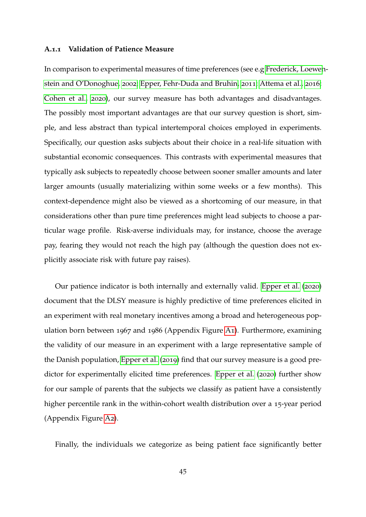#### <span id="page-45-0"></span>**A.1.1 Validation of Patience Measure**

In comparison to experimental measures of time preferences (see e.g [Frederick, Loewen](#page-40-4)[stein and O'Donoghue,](#page-40-4) [2002](#page-40-4); [Epper, Fehr-Duda and Bruhin,](#page-40-5) [2011](#page-40-5); [Attema et al.,](#page-37-3) [2016](#page-37-3); [Cohen et al.,](#page-39-7) [2020](#page-39-7)), our survey measure has both advantages and disadvantages. The possibly most important advantages are that our survey question is short, simple, and less abstract than typical intertemporal choices employed in experiments. Specifically, our question asks subjects about their choice in a real-life situation with substantial economic consequences. This contrasts with experimental measures that typically ask subjects to repeatedly choose between sooner smaller amounts and later larger amounts (usually materializing within some weeks or a few months). This context-dependence might also be viewed as a shortcoming of our measure, in that considerations other than pure time preferences might lead subjects to choose a particular wage profile. Risk-averse individuals may, for instance, choose the average pay, fearing they would not reach the high pay (although the question does not explicitly associate risk with future pay raises).

Our patience indicator is both internally and externally valid. [Epper et al.](#page-40-0) ([2020](#page-40-0)) document that the DLSY measure is highly predictive of time preferences elicited in an experiment with real monetary incentives among a broad and heterogeneous population born between 1967 and 1986 (Appendix Figure [A](#page-48-0)1). Furthermore, examining the validity of our measure in an experiment with a large representative sample of the Danish population, [Epper et al.](#page-40-6) ([2019](#page-40-6)) find that our survey measure is a good predictor for experimentally elicited time preferences. [Epper et al.](#page-40-0) ([2020](#page-40-0)) further show for our sample of parents that the subjects we classify as patient have a consistently higher percentile rank in the within-cohort wealth distribution over a 15-year period (Appendix Figure [A](#page-49-1)2).

Finally, the individuals we categorize as being patient face significantly better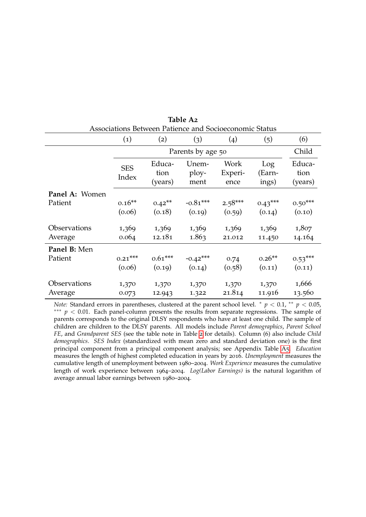<span id="page-46-0"></span>

|                | $\left( 1\right)$   | (2)                       | (3)                    | (4)                     | (5)                    | (6)                       |
|----------------|---------------------|---------------------------|------------------------|-------------------------|------------------------|---------------------------|
|                |                     |                           | Parents by age 50      |                         |                        | Child                     |
|                | <b>SES</b><br>Index | Educa-<br>tion<br>(years) | Unem-<br>ploy-<br>ment | Work<br>Experi-<br>ence | Log<br>(Earn-<br>ings) | Educa-<br>tion<br>(years) |
| Panel A: Women |                     |                           |                        |                         |                        |                           |
| Patient        | $0.16**$            | $0.42***$                 | $-0.81***$             | $2.58***$               | $0.43***$              | $0.50***$                 |
|                | (0.06)              | (0.18)                    | (0.19)                 | (0.59)                  | (0.14)                 | (0.10)                    |
| Observations   | 1,369               | 1,369                     | 1,369                  | 1,369                   | 1,369                  | 1,807                     |
| Average        | 0.064               | 12.181                    | 1.863                  | 21.012                  | 11.450                 | 14.164                    |
| Panel B: Men   |                     |                           |                        |                         |                        |                           |
| Patient        | $0.21***$           | $0.61***$                 | $-0.42***$             | 0.74                    | $0.26**$               | $0.53***$                 |
|                | (0.06)              | (0.19)                    | (0.14)                 | (0.58)                  | (0.11)                 | (0.11)                    |
| Observations   | 1,370               | 1,370                     | 1,370                  | 1,370                   | 1,370                  | 1,666                     |
| Average        | 0.073               | 12.943                    | 1.322                  | 21.814                  | 11.916                 | 13.560                    |

**Table A2** Associations Between Patience and Socioeconomic Status

*Note:* Standard errors in parentheses, clustered at the parent school level.  $*$   $p < 0.1$ ,  $**$   $p < 0.05$ , ∗∗∗ *p* < 0.01. Each panel-column presents the results from separate regressions. The sample of parents corresponds to the original DLSY respondents who have at least one child. The sample of children are children to the DLSY parents. All models include *Parent demographics*, *Parent School FE*, and *Grandparent SES* (see the table note in Table [2](#page-19-0) for details). Column (6) also include *Child demographics*. *SES Index* (standardized with mean zero and standard deviation one) is the first principal component from a principal component analysis; see Appendix Table [A](#page-52-0)5. *Education* measures the length of highest completed education in years by 2016. *Unemployment* measures the cumulative length of unemployment between 1980–2004. *Work Experience* measures the cumulative length of work experience between 1964–2004. *Log(Labor Earnings)* is the natural logarithm of average annual labor earnings between 1980–2004.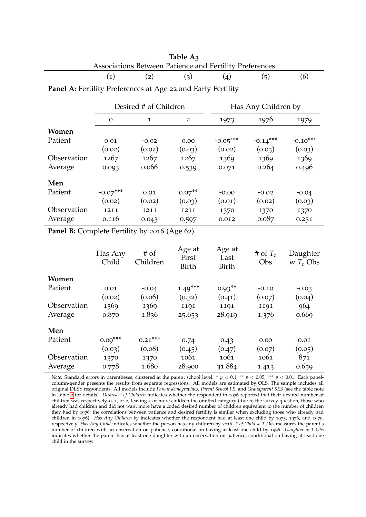<span id="page-47-0"></span>

| Associations Between Patience and Fertility Preferences      |                                              |                       |                          |                         |                     |                         |  |  |  |
|--------------------------------------------------------------|----------------------------------------------|-----------------------|--------------------------|-------------------------|---------------------|-------------------------|--|--|--|
|                                                              | $\left( 1\right)$                            | (2)                   | (3)                      | (4)                     | (5)                 | (6)                     |  |  |  |
| Panel A: Fertility Preferences at Age 22 and Early Fertility |                                              |                       |                          |                         |                     |                         |  |  |  |
|                                                              |                                              | Desired # of Children |                          |                         | Has Any Children by |                         |  |  |  |
|                                                              | $\Omega$                                     | $\mathbf{1}$          | $\overline{2}$           | 1973                    | 1976                | 1979                    |  |  |  |
| Women                                                        |                                              |                       |                          |                         |                     |                         |  |  |  |
| Patient                                                      | 0.01                                         | $-0.02$               | 0.00                     | $-0.05***$              | $-0.14***$          | $-0.10***$              |  |  |  |
|                                                              | (0.02)                                       | (0.02)                | (0.03)                   | (0.02)                  | (0.03)              | (0.03)                  |  |  |  |
| Observation                                                  | 1267                                         | 1267                  | 1267                     | 1369                    | 1369                | 1369                    |  |  |  |
| Average                                                      | 0.093                                        | 0.066                 | 0.539                    | 0.071                   | 0.264               | 0.496                   |  |  |  |
| Men                                                          |                                              |                       |                          |                         |                     |                         |  |  |  |
| Patient                                                      | $-0.07***$                                   | 0.01                  | $0.07**$                 | $-0.00$                 | $-0.02$             | $-0.04$                 |  |  |  |
|                                                              | (0.02)                                       | (0.02)                | (0.03)                   | (0.01)                  | (0.02)              | (0.03)                  |  |  |  |
| Observation                                                  | 1211                                         | 1211                  | 1211                     | 1370                    | 1370                | 1370                    |  |  |  |
| Average                                                      | 0.116                                        | 0.043                 | 0.597                    | 0.012                   | 0.087               | 0.231                   |  |  |  |
|                                                              | Panel B: Complete Fertility by 2016 (Age 62) |                       |                          |                         |                     |                         |  |  |  |
|                                                              | Has Any<br>Child                             | $#$ of<br>Children    | Age at<br>First<br>Birth | Age at<br>Last<br>Birth | # of $T_c$<br>Obs   | Daughter<br>w $T_c$ Obs |  |  |  |

**Women**

**Men**

|                                                         | Table A3 |  |  |
|---------------------------------------------------------|----------|--|--|
| Associations Between Patience and Fertility Preferences |          |  |  |
|                                                         |          |  |  |

Observation 1370 1370 1061 1061 1061 871 Average 0.778 1.680 28.900 31.884 1.413 0.659 *Note:* Standard errors in parentheses, clustered at the parent school level. \*  $p < 0.1$ , \*\*  $p < 0.05$ , \*\*\*  $p < 0.01$ . Each panelcolumn-gender presents the results from separate regressions. All models are estimated by OLS. The sample includes all original DLSY respondents. All models include *Parent demographics*, *Parent School FE*, and *Grandparent SES* (see the table note in Table [2](#page-19-0) for details). *Desired # of Children* indicates whether the respondent in 1976 reported that their desired number of children was respectively, 0, 1, or 2, leaving 3 or more children the omitted category (due to the survey question, those who already had children and did not want more have a coded desired number of children equivalent to the number of children they had by 1976; the correlations between patience and desired fertility is similar when excluding those who already had children in 1976). *Has Any Children by* indicates whether the respondent had at least one child by 1973, 1976, and 1979, respectively. *Has Any Child* indicates whether the person has any children by 2016. *# of Child w T Obs* measures the parent's

Patient 0.01 -0.04 1.49<sup>\*\*\*</sup> 0.93<sup>\*\*</sup> -0.10 -0.03

Observation 1369 1369 1191 1191 1191 964 Average 0.870 1.836 25.653 28.919 1.376 0.669

Patient 0.09<sup>\*\*\*</sup> 0.21<sup>\*\*\*</sup> 0.74 0.43 0.00 0.01

 $(0.02)$   $(0.06)$   $(0.32)$   $(0.41)$   $(0.07)$   $(0.04)$ 

 $(0.03)$   $(0.08)$   $(0.45)$   $(0.47)$   $(0.07)$   $(0.05)$ 

number of children with an observation on patience, conditional on having at least one child by 1996. *Daughter w T Obs* indicates whether the parent has at least one daughter with an observation on patience, conditional on having at least one child in the survey.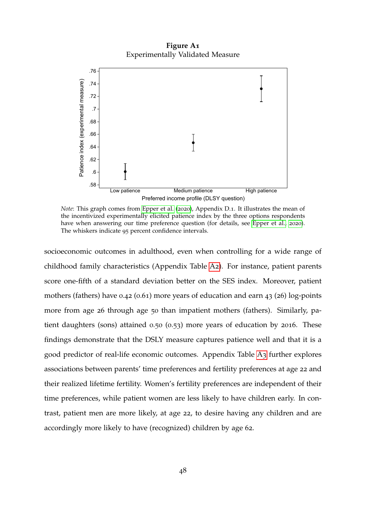**Figure A1** Experimentally Validated Measure

<span id="page-48-0"></span>

*Note*: This graph comes from [Epper et al.](#page-40-0) ([2020](#page-40-0)), Appendix D.1. It illustrates the mean of the incentivized experimentally elicited patience index by the three options respondents have when answering our time preference question (for details, see [Epper et al.,](#page-40-0) [2020](#page-40-0)). The whiskers indicate 95 percent confidence intervals.

socioeconomic outcomes in adulthood, even when controlling for a wide range of childhood family characteristics (Appendix Table [A](#page-46-0)2). For instance, patient parents score one-fifth of a standard deviation better on the SES index. Moreover, patient mothers (fathers) have 0.42 (0.61) more years of education and earn 43 (26) log-points more from age 26 through age 50 than impatient mothers (fathers). Similarly, patient daughters (sons) attained 0.50 (0.53) more years of education by 2016. These findings demonstrate that the DSLY measure captures patience well and that it is a good predictor of real-life economic outcomes. Appendix Table [A](#page-47-0)3 further explores associations between parents' time preferences and fertility preferences at age 22 and their realized lifetime fertility. Women's fertility preferences are independent of their time preferences, while patient women are less likely to have children early. In contrast, patient men are more likely, at age 22, to desire having any children and are accordingly more likely to have (recognized) children by age 62.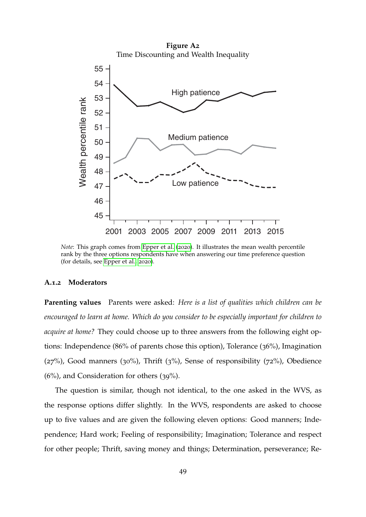<span id="page-49-1"></span>

*Note*: This graph comes from [Epper et al.](#page-40-0) ([2020](#page-40-0)). It illustrates the mean wealth percentile rank by the three options respondents have when answering our time preference question (for details, see [Epper et al.,](#page-40-0) [2020](#page-40-0)).

#### <span id="page-49-0"></span>**A.1.2 Moderators**

**Parenting values** Parents were asked: *Here is a list of qualities which children can be encouraged to learn at home. Which do you consider to be especially important for children to acquire at home?* They could choose up to three answers from the following eight options: Independence (86% of parents chose this option), Tolerance (36%), Imagination  $(27%)$ , Good manners  $(30%)$ , Thrift  $(3%)$ , Sense of responsibility  $(72%)$ , Obedience (6%), and Consideration for others (39%).

The question is similar, though not identical, to the one asked in the WVS, as the response options differ slightly. In the WVS, respondents are asked to choose up to five values and are given the following eleven options: Good manners; Independence; Hard work; Feeling of responsibility; Imagination; Tolerance and respect for other people; Thrift, saving money and things; Determination, perseverance; Re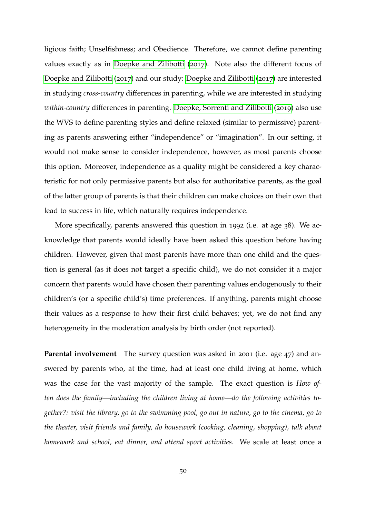ligious faith; Unselfishness; and Obedience. Therefore, we cannot define parenting values exactly as in [Doepke and Zilibotti](#page-39-3) ([2017](#page-39-3)). Note also the different focus of [Doepke and Zilibotti](#page-39-3) ([2017](#page-39-3)) and our study: [Doepke and Zilibotti](#page-39-3) ([2017](#page-39-3)) are interested in studying *cross-country* differences in parenting, while we are interested in studying *within-country* differences in parenting. [Doepke, Sorrenti and Zilibotti](#page-40-7) ([2019](#page-40-7)) also use the WVS to define parenting styles and define relaxed (similar to permissive) parenting as parents answering either "independence" or "imagination". In our setting, it would not make sense to consider independence, however, as most parents choose this option. Moreover, independence as a quality might be considered a key characteristic for not only permissive parents but also for authoritative parents, as the goal of the latter group of parents is that their children can make choices on their own that lead to success in life, which naturally requires independence.

More specifically, parents answered this question in 1992 (i.e. at age 38). We acknowledge that parents would ideally have been asked this question before having children. However, given that most parents have more than one child and the question is general (as it does not target a specific child), we do not consider it a major concern that parents would have chosen their parenting values endogenously to their children's (or a specific child's) time preferences. If anything, parents might choose their values as a response to how their first child behaves; yet, we do not find any heterogeneity in the moderation analysis by birth order (not reported).

**Parental involvement** The survey question was asked in 2001 (i.e. age 47) and answered by parents who, at the time, had at least one child living at home, which was the case for the vast majority of the sample. The exact question is *How often does the family—including the children living at home—do the following activities together?: visit the library, go to the swimming pool, go out in nature, go to the cinema, go to the theater, visit friends and family, do housework (cooking, cleaning, shopping), talk about homework and school, eat dinner, and attend sport activities.* We scale at least once a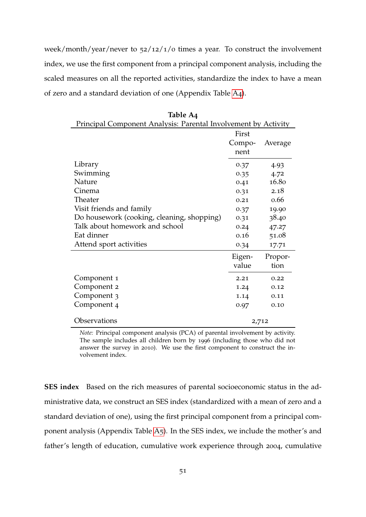week/month/year/never to 52/12/1/0 times a year. To construct the involvement index, we use the first component from a principal component analysis, including the scaled measures on all the reported activities, standardize the index to have a mean of zero and a standard deviation of one (Appendix Table [A](#page-51-0)4).

<span id="page-51-0"></span>

| Principal Component Analysis: Parental Involvement by Activity |                         |                 |
|----------------------------------------------------------------|-------------------------|-----------------|
|                                                                | First<br>Compo-<br>nent | Average         |
| Library                                                        | 0.37                    | 4.93            |
| Swimming                                                       | 0.35                    | 4.72            |
| Nature                                                         | 0.41                    | 16.80           |
| Cinema                                                         | 0.31                    | 2.18            |
| Theater                                                        | 0.21                    | 0.66            |
| Visit friends and family                                       | 0.37                    | 19.90           |
| Do housework (cooking, cleaning, shopping)                     | 0.31                    | 38.40           |
| Talk about homework and school                                 | 0.24                    | 47.27           |
| Eat dinner                                                     | 0.16                    | 51.08           |
| Attend sport activities                                        | 0.34                    | 17.71           |
|                                                                | Eigen-<br>value         | Propor-<br>tion |
| Component 1                                                    | 2.21                    | 0.22            |
| Component 2                                                    | 1.24                    | 0.12            |
| Component 3                                                    | 1.14                    | 0.11            |
| Component <sub>4</sub>                                         | 0.97                    | 0.10            |
| Observations                                                   | 2,712                   |                 |

**Table A4**

*Note:* Principal component analysis (PCA) of parental involvement by activity. The sample includes all children born by 1996 (including those who did not answer the survey in 2010). We use the first component to construct the involvement index.

**SES index** Based on the rich measures of parental socioeconomic status in the administrative data, we construct an SES index (standardized with a mean of zero and a standard deviation of one), using the first principal component from a principal component analysis (Appendix Table [A](#page-52-0)5). In the SES index, we include the mother's and father's length of education, cumulative work experience through 2004, cumulative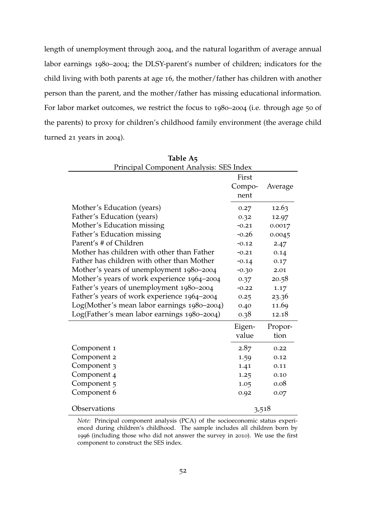length of unemployment through 2004, and the natural logarithm of average annual labor earnings 1980–2004; the DLSY-parent's number of children; indicators for the child living with both parents at age 16, the mother/father has children with another person than the parent, and the mother/father has missing educational information. For labor market outcomes, we restrict the focus to 1980–2004 (i.e. through age 50 of the parents) to proxy for children's childhood family environment (the average child turned 21 years in 2004).

<span id="page-52-0"></span>

| Principal Component Analysis: SES Index     |         |         |  |  |
|---------------------------------------------|---------|---------|--|--|
|                                             | First   |         |  |  |
|                                             | Compo-  | Average |  |  |
|                                             | nent    |         |  |  |
| Mother's Education (years)                  | 0.27    | 12.63   |  |  |
| Father's Education (years)                  | 0.32    | 12.97   |  |  |
| Mother's Education missing                  | $-0.21$ | 0.0017  |  |  |
| Father's Education missing                  | $-0.26$ | 0.0045  |  |  |
| Parent's # of Children                      | $-0.12$ | 2.47    |  |  |
| Mother has children with other than Father  | $-0.21$ | 0.14    |  |  |
| Father has children with other than Mother  | $-0.14$ | 0.17    |  |  |
| Mother's years of unemployment 1980-2004    | $-0.30$ | 2.01    |  |  |
| Mother's years of work experience 1964-2004 | 0.37    | 20.58   |  |  |
| Father's years of unemployment 1980-2004    | $-0.22$ | 1.17    |  |  |
| Father's years of work experience 1964-2004 | 0.25    | 23.36   |  |  |
| Log(Mother's mean labor earnings 1980-2004) | 0.40    | 11.69   |  |  |
| Log(Father's mean labor earnings 1980-2004) | 0.38    | 12.18   |  |  |
|                                             | Eigen-  | Propor- |  |  |
|                                             | value   | tion    |  |  |
| Component 1                                 | 2.87    | 0.22    |  |  |
| Component 2                                 | 1.59    | 0.12    |  |  |
| Component 3                                 | 1.41    | 0.11    |  |  |
| Component 4                                 | 1.25    | 0.10    |  |  |
| Component 5                                 | 1.05    | 0.08    |  |  |
| Component 6                                 | 0.92    | 0.07    |  |  |
| Observations                                | 3,518   |         |  |  |

|  | Table A5 |  |  |
|--|----------|--|--|
|  |          |  |  |

*Note:* Principal component analysis (PCA) of the socioeconomic status experienced during children's childhood. The sample includes all children born by 1996 (including those who did not answer the survey in 2010). We use the first component to construct the SES index.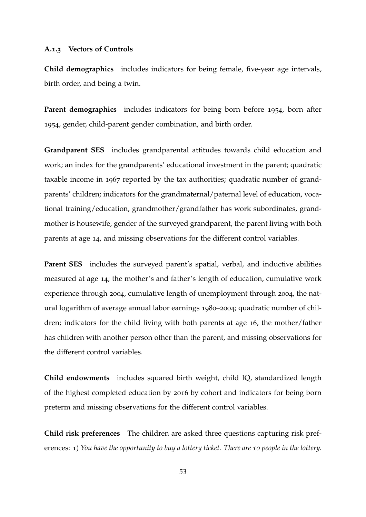#### <span id="page-53-0"></span>**A.1.3 Vectors of Controls**

**Child demographics** includes indicators for being female, five-year age intervals, birth order, and being a twin.

**Parent demographics** includes indicators for being born before 1954, born after 1954, gender, child-parent gender combination, and birth order.

**Grandparent SES** includes grandparental attitudes towards child education and work; an index for the grandparents' educational investment in the parent; quadratic taxable income in 1967 reported by the tax authorities; quadratic number of grandparents' children; indicators for the grandmaternal/paternal level of education, vocational training/education, grandmother/grandfather has work subordinates, grandmother is housewife, gender of the surveyed grandparent, the parent living with both parents at age 14, and missing observations for the different control variables.

**Parent SES** includes the surveyed parent's spatial, verbal, and inductive abilities measured at age 14; the mother's and father's length of education, cumulative work experience through 2004, cumulative length of unemployment through 2004, the natural logarithm of average annual labor earnings 1980–2004; quadratic number of children; indicators for the child living with both parents at age 16, the mother/father has children with another person other than the parent, and missing observations for the different control variables.

**Child endowments** includes squared birth weight, child IQ, standardized length of the highest completed education by 2016 by cohort and indicators for being born preterm and missing observations for the different control variables.

**Child risk preferences** The children are asked three questions capturing risk preferences: 1) *You have the opportunity to buy a lottery ticket. There are 10 people in the lottery.*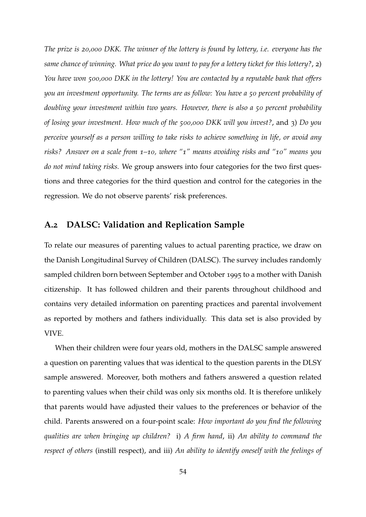*The prize is 20,000 DKK. The winner of the lottery is found by lottery, i.e. everyone has the same chance of winning. What price do you want to pay for a lottery ticket for this lottery?*, 2) *You have won 500,000 DKK in the lottery! You are contacted by a reputable bank that offers you an investment opportunity. The terms are as follow: You have a 50 percent probability of doubling your investment within two years. However, there is also a 50 percent probability of losing your investment. How much of the 500,000 DKK will you invest?*, and 3) *Do you perceive yourself as a person willing to take risks to achieve something in life, or avoid any risks? Answer on a scale from 1–10, where "1" means avoiding risks and "10" means you do not mind taking risks.* We group answers into four categories for the two first questions and three categories for the third question and control for the categories in the regression. We do not observe parents' risk preferences.

### <span id="page-54-0"></span>**A.2 DALSC: Validation and Replication Sample**

To relate our measures of parenting values to actual parenting practice, we draw on the Danish Longitudinal Survey of Children (DALSC). The survey includes randomly sampled children born between September and October 1995 to a mother with Danish citizenship. It has followed children and their parents throughout childhood and contains very detailed information on parenting practices and parental involvement as reported by mothers and fathers individually. This data set is also provided by VIVE.

When their children were four years old, mothers in the DALSC sample answered a question on parenting values that was identical to the question parents in the DLSY sample answered. Moreover, both mothers and fathers answered a question related to parenting values when their child was only six months old. It is therefore unlikely that parents would have adjusted their values to the preferences or behavior of the child. Parents answered on a four-point scale: *How important do you find the following qualities are when bringing up children?* i) *A firm hand*, ii) *An ability to command the respect of others* (instill respect), and iii) *An ability to identify oneself with the feelings of*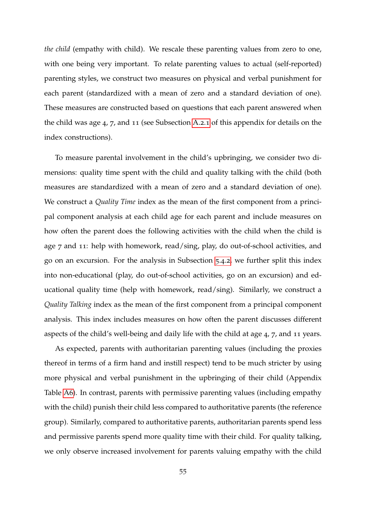*the child* (empathy with child). We rescale these parenting values from zero to one, with one being very important. To relate parenting values to actual (self-reported) parenting styles, we construct two measures on physical and verbal punishment for each parent (standardized with a mean of zero and a standard deviation of one). These measures are constructed based on questions that each parent answered when the child was age 4, 7, and 11 (see Subsection [A.](#page-57-0)2.1 of this appendix for details on the index constructions).

To measure parental involvement in the child's upbringing, we consider two dimensions: quality time spent with the child and quality talking with the child (both measures are standardized with a mean of zero and a standard deviation of one). We construct a *Quality Time* index as the mean of the first component from a principal component analysis at each child age for each parent and include measures on how often the parent does the following activities with the child when the child is age 7 and 11: help with homework, read/sing, play, do out-of-school activities, and go on an excursion. For the analysis in Subsection [5](#page-31-0).4.2, we further split this index into non-educational (play, do out-of-school activities, go on an excursion) and educational quality time (help with homework, read/sing). Similarly, we construct a *Quality Talking* index as the mean of the first component from a principal component analysis. This index includes measures on how often the parent discusses different aspects of the child's well-being and daily life with the child at age 4, 7, and 11 years.

As expected, parents with authoritarian parenting values (including the proxies thereof in terms of a firm hand and instill respect) tend to be much stricter by using more physical and verbal punishment in the upbringing of their child (Appendix Table [A](#page-56-0)6). In contrast, parents with permissive parenting values (including empathy with the child) punish their child less compared to authoritative parents (the reference group). Similarly, compared to authoritative parents, authoritarian parents spend less and permissive parents spend more quality time with their child. For quality talking, we only observe increased involvement for parents valuing empathy with the child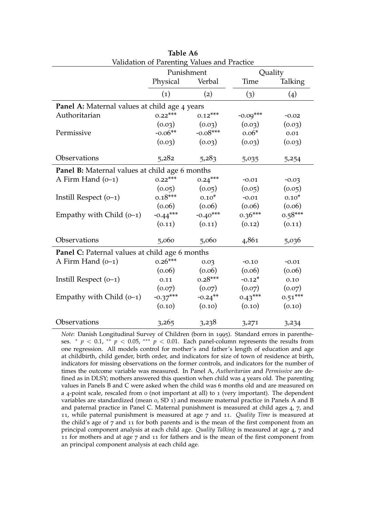<span id="page-56-0"></span>

| Validation of Parenting Values and Practice    |            |            |            |           |  |
|------------------------------------------------|------------|------------|------------|-----------|--|
|                                                | Punishment |            | Quality    |           |  |
|                                                | Physical   | Verbal     | Time       | Talking   |  |
|                                                | (1)        | (2)        | (3)        | (4)       |  |
| Panel A: Maternal values at child age 4 years  |            |            |            |           |  |
| Authoritarian                                  | $0.22***$  | $0.12***$  | $-0.09***$ | $-0.02$   |  |
|                                                | (0.03)     | (0.03)     | (0.03)     | (0.03)    |  |
| Permissive                                     | $-0.06**$  | $-0.08***$ | $0.06*$    | 0.01      |  |
|                                                | (0.03)     | (0.03)     | (0.03)     | (0.03)    |  |
| Observations                                   | 5,282      | 5,283      | 5,035      | 5,254     |  |
| Panel B: Maternal values at child age 6 months |            |            |            |           |  |
| A Firm Hand $(0-1)$                            | $0.22***$  | $0.24***$  | $-0.01$    | $-0.03$   |  |
|                                                | (0.05)     | (0.05)     | (0.05)     | (0.05)    |  |
| Instill Respect $(0-1)$                        | $0.18***$  | $0.10*$    | $-0.01$    | $0.10*$   |  |
|                                                | (0.06)     | (0.06)     | (0.06)     | (0.06)    |  |
| Empathy with Child $(0-1)$                     | $-0.44***$ | $-0.40***$ | $0.36***$  | $0.58***$ |  |
|                                                | (0.11)     | (0.11)     | (0.12)     | (0.11)    |  |
| Observations                                   | 5,060      | 5,060      | 4,861      | 5,036     |  |
| Panel C: Paternal values at child age 6 months |            |            |            |           |  |
| A Firm Hand $(0-1)$                            | $0.26***$  | 0.03       | $-0.10$    | $-0.01$   |  |
|                                                | (0.06)     | (0.06)     | (0.06)     | (0.06)    |  |
| Instill Respect $(0-1)$                        | 0.11       | $0.28***$  | $-0.12*$   | 0.10      |  |
|                                                | (0.07)     | (0.07)     | (0.07)     | (0.07)    |  |
| Empathy with Child $(0-1)$                     | $-0.37***$ | $-0.24***$ | $0.43***$  | $0.51***$ |  |
|                                                | (0.10)     | (0.10)     | (0.10)     | (0.10)    |  |
| Observations                                   | 3,265      | 3,238      | 3,271      | 3,234     |  |

| Table A6                                    |  |
|---------------------------------------------|--|
| Validation of Parenting Values and Practice |  |

*Note*: Danish Longitudinal Survey of Children (born in 1995). Standard errors in parentheses.  $*$  *p* < 0.1,  $*$  *p* < 0.05,  $**$  *p* < 0.01. Each panel-column represents the results from one regression. All models control for mother's and father's length of education and age at childbirth, child gender, birth order, and indicators for size of town of residence at birth, indicators for missing observations on the former controls, and indicators for the number of times the outcome variable was measured. In Panel A, *Authoritarian* and *Permissive* are defined as in DLSY; mothers answered this question when child was 4 years old. The parenting values in Panels B and C were asked when the child was 6 months old and are measured on a 4-point scale, rescaled from 0 (not important at all) to 1 (very important). The dependent variables are standardized (mean 0, SD 1) and measure maternal practice in Panels A and B and paternal practice in Panel C. Maternal punishment is measured at child ages 4, 7, and 11, while paternal punishment is measured at age 7 and 11. *Quality Time* is measured at the child's age of 7 and 11 for both parents and is the mean of the first component from an principal component analysis at each child age. *Quality Talking* is measured at age 4, 7 and 11 for mothers and at age 7 and 11 for fathers and is the mean of the first component from an principal component analysis at each child age.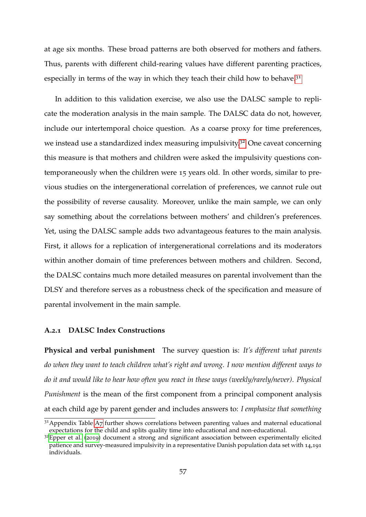at age six months. These broad patterns are both observed for mothers and fathers. Thus, parents with different child-rearing values have different parenting practices, especially in terms of the way in which they teach their child how to behave. $3<sup>1</sup>$ 

In addition to this validation exercise, we also use the DALSC sample to replicate the moderation analysis in the main sample. The DALSC data do not, however, include our intertemporal choice question. As a coarse proxy for time preferences, we instead use a standardized index measuring impulsivity.<sup>[32](#page-57-2)</sup> One caveat concerning this measure is that mothers and children were asked the impulsivity questions contemporaneously when the children were 15 years old. In other words, similar to previous studies on the intergenerational correlation of preferences, we cannot rule out the possibility of reverse causality. Moreover, unlike the main sample, we can only say something about the correlations between mothers' and children's preferences. Yet, using the DALSC sample adds two advantageous features to the main analysis. First, it allows for a replication of intergenerational correlations and its moderators within another domain of time preferences between mothers and children. Second, the DALSC contains much more detailed measures on parental involvement than the DLSY and therefore serves as a robustness check of the specification and measure of parental involvement in the main sample.

#### <span id="page-57-0"></span>**A.2.1 DALSC Index Constructions**

**Physical and verbal punishment** The survey question is: *It's different what parents do when they want to teach children what's right and wrong. I now mention different ways to do it and would like to hear how often you react in these ways (weekly/rarely/never)*. *Physical Punishment* is the mean of the first component from a principal component analysis at each child age by parent gender and includes answers to: *I emphasize that something*

<span id="page-57-1"></span> $31$ Appendix Table [A](#page-58-0)7 further shows correlations between parenting values and maternal educational expectations for the child and splits quality time into educational and non-educational.

<span id="page-57-2"></span> $32$ [Epper et al.](#page-40-6) ([2019](#page-40-6)) document a strong and significant association between experimentally elicited patience and survey-measured impulsivity in a representative Danish population data set with 14,191 individuals.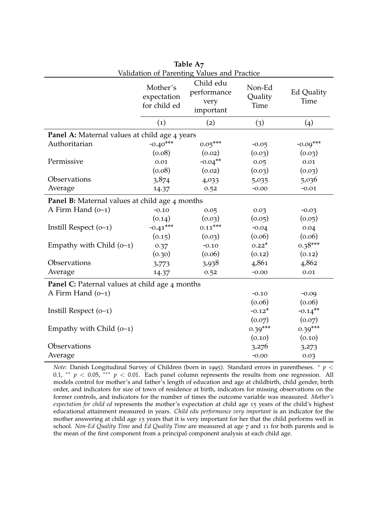<span id="page-58-0"></span>

| Table A7                                              |                                         |                                               |                           |                           |  |
|-------------------------------------------------------|-----------------------------------------|-----------------------------------------------|---------------------------|---------------------------|--|
| Validation of Parenting Values and Practice           |                                         |                                               |                           |                           |  |
|                                                       | Mother's<br>expectation<br>for child ed | Child edu<br>performance<br>very<br>important | Non-Ed<br>Quality<br>Time | <b>Ed Quality</b><br>Time |  |
|                                                       | $\left( 1\right)$                       | (2)                                           | (3)                       | $\left( 4\right)$         |  |
| Panel A: Maternal values at child age 4 years         |                                         |                                               |                           |                           |  |
| Authoritarian                                         | $-0.40***$                              | $0.05***$                                     | $-0.05$                   | $-0.09***$                |  |
|                                                       | (0.08)                                  | (0.02)                                        | (0.03)                    | (0.03)                    |  |
| Permissive                                            | 0.01                                    | $-0.04***$                                    | 0.05                      | 0.01                      |  |
|                                                       | (0.08)                                  | (0.02)                                        | (0.03)                    | (0.03)                    |  |
| Observations                                          | 3,874                                   | 4,033                                         | 5,035                     | 5,036                     |  |
| Average                                               | 14.37                                   | 0.52                                          | $-0.00$                   | $-0.01$                   |  |
| <b>Panel B:</b> Maternal values at child age 4 months |                                         |                                               |                           |                           |  |
| A Firm Hand $(0-1)$                                   | $-0.10$                                 | 0.05                                          | 0.03                      | $-0.03$                   |  |
|                                                       | (0.14)                                  | (0.03)                                        | (0.05)                    | (0.05)                    |  |
| Instill Respect $(0-1)$                               | $-0.41***$                              | $0.11***$                                     | $-0.04$                   | 0.04                      |  |
|                                                       | (0.15)                                  | (0.03)                                        | (0.06)                    | (0.06)                    |  |
| Empathy with Child $(0-1)$                            | 0.37                                    | $-0.10$                                       | $0.22*$                   | $0.38***$                 |  |
|                                                       | (0.30)                                  | (0.06)                                        | (0.12)                    | (0.12)                    |  |
| Observations                                          | 3,773                                   | 3,938                                         | 4,861                     | 4,862                     |  |
| Average                                               | 14.37                                   | 0.52                                          | $-0.00$                   | 0.01                      |  |
| <b>Panel C:</b> Paternal values at child age 4 months |                                         |                                               |                           |                           |  |
| A Firm Hand $(0-1)$                                   |                                         |                                               | $-0.10$                   | $-0.09$                   |  |
|                                                       |                                         |                                               | (0.06)                    | (0.06)                    |  |
| Instill Respect $(0-1)$                               |                                         |                                               | $-0.12*$                  | $-0.14$ **                |  |
|                                                       |                                         |                                               | (0.07)                    | (0.07)                    |  |
| Empathy with Child $(0-1)$                            |                                         |                                               | $0.39***$                 | $0.39***$                 |  |
|                                                       |                                         |                                               | (0.10)                    | (0.10)                    |  |
| Observations                                          |                                         |                                               | 3,276                     | 3,273                     |  |
| Average                                               |                                         |                                               | $-0.00$                   | 0.03                      |  |

*Note*: Danish Longitudinal Survey of Children (born in 1995). Standard errors in parentheses. <sup>∗</sup> *p* < 0.1, ∗∗ *p* < 0.05, ∗∗∗ *p* < 0.01. Each panel column represents the results from one regression. All models control for mother's and father's length of education and age at childbirth, child gender, birth order, and indicators for size of town of residence at birth, indicators for missing observations on the former controls, and indicators for the number of times the outcome variable was measured. *Mother's expectation for child ed* represents the mother's expectation at child age 15 years of the child's highest educational attainment measured in years. *Child edu performance very important* is an indicator for the mother answering at child age 15 years that it is very important for her that the child performs well in school. *Non-Ed Quality Time* and *Ed Quality Time* are measured at age 7 and 11 for both parents and is the mean of the first component from a principal component analysis at each child age.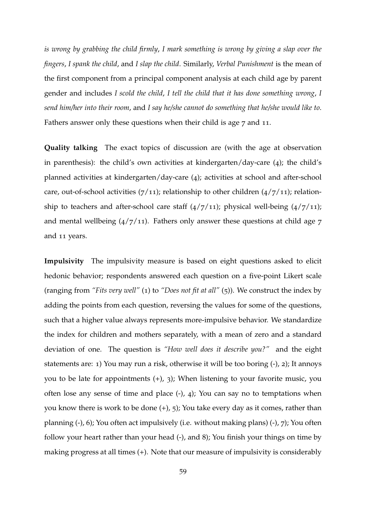*is wrong by grabbing the child firmly*, *I mark something is wrong by giving a slap over the fingers*, *I spank the child*, and *I slap the child*. Similarly, *Verbal Punishment* is the mean of the first component from a principal component analysis at each child age by parent gender and includes *I scold the child*, *I tell the child that it has done something wrong*, *I send him/her into their room*, and *I say he/she cannot do something that he/she would like to*. Fathers answer only these questions when their child is age 7 and 11.

**Quality talking** The exact topics of discussion are (with the age at observation in parenthesis): the child's own activities at kindergarten/day-care (4); the child's planned activities at kindergarten/day-care (4); activities at school and after-school care, out-of-school activities  $(7/11)$ ; relationship to other children  $(4/7/11)$ ; relationship to teachers and after-school care staff  $(4/7/11)$ ; physical well-being  $(4/7/11)$ ; and mental wellbeing  $\left(\frac{4}{7}\right)$  in. Fathers only answer these questions at child age  $7$ and 11 years.

**Impulsivity** The impulsivity measure is based on eight questions asked to elicit hedonic behavior; respondents answered each question on a five-point Likert scale (ranging from *"Fits very well"* (1) to *"Does not fit at all"* (5)). We construct the index by adding the points from each question, reversing the values for some of the questions, such that a higher value always represents more-impulsive behavior. We standardize the index for children and mothers separately, with a mean of zero and a standard deviation of one. The question is *"How well does it describe you?"* and the eight statements are: 1) You may run a risk, otherwise it will be too boring (-), 2); It annoys you to be late for appointments  $(+)$ , 3); When listening to your favorite music, you often lose any sense of time and place  $(-)$ ,  $(4)$ ; You can say no to temptations when you know there is work to be done  $(+)$ , 5); You take every day as it comes, rather than planning (-), 6); You often act impulsively (i.e. without making plans) (-), 7); You often follow your heart rather than your head (-), and 8); You finish your things on time by making progress at all times (+). Note that our measure of impulsivity is considerably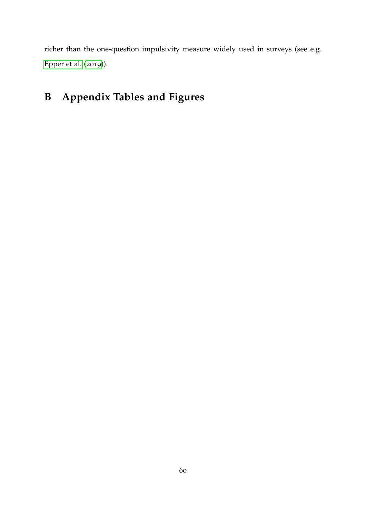richer than the one-question impulsivity measure widely used in surveys (see e.g. [Epper et al.](#page-40-6) ([2019](#page-40-6))).

## **B Appendix Tables and Figures**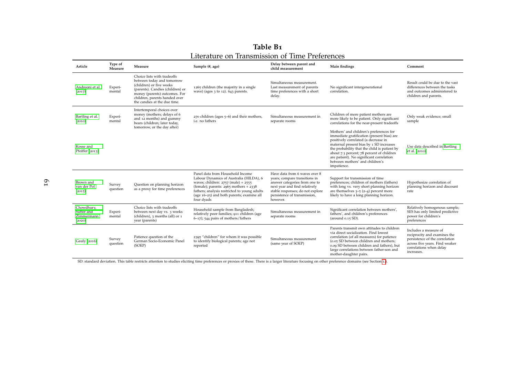<span id="page-61-0"></span>

| Table B1                                       |  |
|------------------------------------------------|--|
| Literature on Transmission of Time Preferences |  |

| Article                                          | Type of<br>Measure | Measure                                                                                                                                                                                                                     | Sample (#, age)                                                                                                                                                                                                                                                                | Delay between parent and<br>child measurement                                                                                                                                                                    | Main findings                                                                                                                                                                                                                                                                                                                                                       | Comment                                                                                                                                                            |
|--------------------------------------------------|--------------------|-----------------------------------------------------------------------------------------------------------------------------------------------------------------------------------------------------------------------------|--------------------------------------------------------------------------------------------------------------------------------------------------------------------------------------------------------------------------------------------------------------------------------|------------------------------------------------------------------------------------------------------------------------------------------------------------------------------------------------------------------|---------------------------------------------------------------------------------------------------------------------------------------------------------------------------------------------------------------------------------------------------------------------------------------------------------------------------------------------------------------------|--------------------------------------------------------------------------------------------------------------------------------------------------------------------|
| Andreoni et al.<br>(2017)                        | Experi-<br>mental  | Choice lists with tradeoffs<br>between today and tomorrow<br>(children) or five weeks<br>(parents). Candies (children) or<br>money (parents) outcomes. For<br>children, parents handed over<br>the candies at the due time. | 1265 children (the majority in a single<br>wave) (ages $3$ to $12$ ). $643$ parents.                                                                                                                                                                                           | Simultaneous measurement.<br>Last measurement of parents<br>time preferences with a short<br>delay.                                                                                                              | No significant intergenerational<br>correlation.                                                                                                                                                                                                                                                                                                                    | Result could be due to the vast<br>differences between the tasks<br>and outcomes administered to<br>children and parents.                                          |
| Bartling et al.<br>(2010)                        | Experi-<br>mental  | Intertemporal choices over<br>money (mothers; delays of 6<br>and 12 months) and gummy<br>bears (children; later today,<br>tomorrow, or the day after)                                                                       | 270 children (ages 5-6) and their mothers,<br>i.e. no fathers                                                                                                                                                                                                                  | Simultaneous measurement in<br>separate rooms                                                                                                                                                                    | Children of more patient mothers are<br>more likely to be patient. Only significant<br>correlations for the near-present tradeoffs                                                                                                                                                                                                                                  | Only weak evidence; small<br>sample                                                                                                                                |
| Kosse and<br>Pfeiffer (2013)                     |                    |                                                                                                                                                                                                                             |                                                                                                                                                                                                                                                                                |                                                                                                                                                                                                                  | Mothers' and children's preferences for<br>immediate gratification (present bias) are<br>positively correlated (a decrease in<br>maternal present bias by 1 SD increases<br>the probability that the child is patient by<br>about 7.3 percent; 78 percent of children<br>are patient). No significant correlation<br>between mothers' and children's<br>impatience. | Use data described in Bartling<br>et al. (2010).                                                                                                                   |
| Brown and<br>van der Pol<br>(2015)               | Survey<br>question | Question on planning horizon<br>as a proxy for time preferences                                                                                                                                                             | Panel data from Household Income<br>Labour Dynamics of Australia (HILDA), 6<br>waves; children: 2757 (male) + 2555<br>(female); parents: $2965$ mothers + $2338$<br>fathers; analysis restricted to young adults<br>(age $16-25$ ) and both parents; examine all<br>four dyads | Have data from 6 waves over 8<br>years; compare transitions in<br>answer categories from one to<br>next year and find relatively<br>stable responses; do not explore<br>persistence of transmission,<br>however. | Support for transmission of time<br>preferences; children of mothers (fathers)<br>with long vs. very short planning horizon<br>are themselves $3\overline{-}5(2-4)$ percent more<br>likely to have a long planning horizon.                                                                                                                                         | Hypothesize correlation of<br>planning horizon and discount<br>rate                                                                                                |
| Chowdhury,<br>Sutter and<br>Zimmermann<br>(2020) | Experi-<br>mental  | Choice lists with tradeoffs<br>between next day vs. 3 weeks<br>(children), 3 months (all) or 1<br>year (parents)                                                                                                            | Household sample from Bangladesh;<br>relatively poor families; 911 children (age<br>$6-17$ ; 544 pairs of mothers/fathers                                                                                                                                                      | Simultaneous measurement in<br>separate rooms                                                                                                                                                                    | Significant correlation between mothers',<br>fathers', and children's preferences<br>(around $0.15$ SD).                                                                                                                                                                                                                                                            | Relatively homogenous sample;<br>SES has only limited predictive<br>power for children's<br>preferences                                                            |
| Gauly (2016)                                     | Survey<br>question | Patience question of the<br>German Socio-Economic Panel<br>(SOEP)                                                                                                                                                           | 2395 "children" for whom it was possible<br>to identify biological parents; age not<br>reported                                                                                                                                                                                | Simultaneous measurement<br>(same year of SOEP)                                                                                                                                                                  | Parents transmit own attitudes to children<br>via direct socialization. Find lowest<br>correlation (of all measures) for patience<br>(0.05 SD between children and mothers;<br>0.09 SD between children and fathers), but<br>large correlations between father-son and<br>mother-daughter pairs.                                                                    | Includes a measure of<br>reciprocity and examines the<br>persistence of the correlation<br>across five years. Find weaker<br>correlations when delay<br>increases. |

SD: standard deviation. This table restricts attention to studies eliciting time preferences or proxies of these. There is <sup>a</sup> larger literature focusing on other preference domains (see Section <sup>1</sup>[.\)](#page-1-4).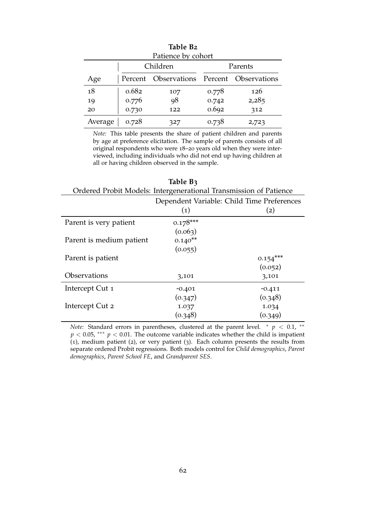<span id="page-62-1"></span>

| Patience by cohort |       |                                           |       |         |  |
|--------------------|-------|-------------------------------------------|-------|---------|--|
|                    |       | Children                                  |       | Parents |  |
| Age                |       | Percent Observations Percent Observations |       |         |  |
| 18                 | 0.682 | 107                                       | 0.778 | 126     |  |
| 19                 | 0.776 | 98                                        | 0.742 | 2,285   |  |
| 20                 | 0.730 | 122                                       | 0.692 | 312     |  |
| Average            | 0.728 | 327                                       | 0.738 | 2,723   |  |

**Table B2**

*Note:* This table presents the share of patient children and parents by age at preference elicitation. The sample of parents consists of all original respondents who were 18–20 years old when they were interviewed, including individuals who did not end up having children at all or having children observed in the sample.

<span id="page-62-0"></span>

|                                                                   | TUUIL DA          |                   |  |  |  |
|-------------------------------------------------------------------|-------------------|-------------------|--|--|--|
| Ordered Probit Models: Intergenerational Transmission of Patience |                   |                   |  |  |  |
| Dependent Variable: Child Time Preferences                        |                   |                   |  |  |  |
|                                                                   | $\left( 1\right)$ | $\left( 2\right)$ |  |  |  |
| Parent is very patient                                            | $0.178***$        |                   |  |  |  |
|                                                                   | (0.063)           |                   |  |  |  |
| Parent is medium patient                                          | $0.140**$         |                   |  |  |  |
|                                                                   | (0.055)           |                   |  |  |  |
| Parent is patient                                                 |                   | $0.154***$        |  |  |  |
|                                                                   |                   | (0.052)           |  |  |  |
| <b>Observations</b>                                               | 3,101             | 3,101             |  |  |  |
| Intercept Cut 1                                                   | $-0.401$          | $-0.411$          |  |  |  |
|                                                                   | (0.347)           | (0.348)           |  |  |  |
| Intercept Cut 2                                                   | 1.037             | 1.034             |  |  |  |
|                                                                   | (0.348)           | (0.349)           |  |  |  |

**Table B3**

*Note:* Standard errors in parentheses, clustered at the parent level.  $* p < 0.1$ ,  $*$  $p < 0.05$ , \*\*\*  $p < 0.01$ . The outcome variable indicates whether the child is impatient (1), medium patient (2), or very patient (3). Each column presents the results from separate ordered Probit regressions. Both models control for *Child demographics*, *Parent demographics*, *Parent School FE*, and *Grandparent SES*.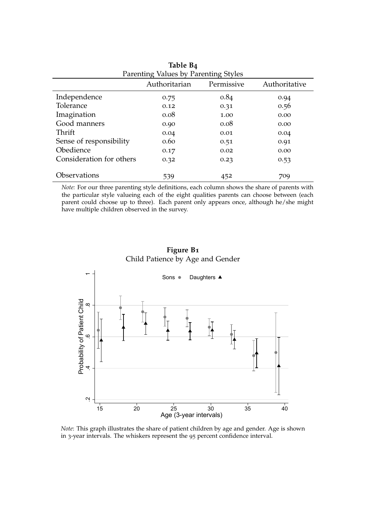<span id="page-63-1"></span>

| Parenting Values by Parenting Styles |               |            |               |  |  |
|--------------------------------------|---------------|------------|---------------|--|--|
|                                      | Authoritarian | Permissive | Authoritative |  |  |
| Independence                         | 0.75          | 0.84       | 0.94          |  |  |
| Tolerance                            | 0.12          | 0.31       | 0.56          |  |  |
| Imagination                          | 0.08          | 1.00       | 0.00          |  |  |
| Good manners                         | 0.90          | 0.08       | 0.00          |  |  |
| Thrift                               | 0.04          | 0.01       | 0.04          |  |  |
| Sense of responsibility              | 0.60          | 0.51       | 0.91          |  |  |
| Obedience                            | 0.17          | 0.02       | 0.00          |  |  |
| Consideration for others             | 0.32          | 0.23       | 0.53          |  |  |
|                                      |               |            |               |  |  |
| Observations                         | 539           | 452        | 709           |  |  |

**Table B4**

*Note:* For our three parenting style definitions, each column shows the share of parents with the particular style valueing each of the eight qualities parents can choose between (each parent could choose up to three). Each parent only appears once, although he/she might have multiple children observed in the survey.

### **Figure B1** Child Patience by Age and Gender

<span id="page-63-0"></span>

*Note*: This graph illustrates the share of patient children by age and gender. Age is shown in 3-year intervals. The whiskers represent the 95 percent confidence interval.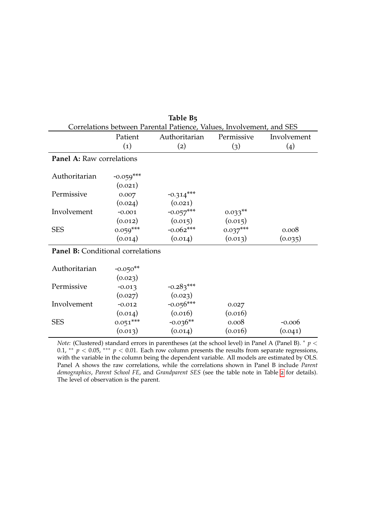<span id="page-64-0"></span>

| Correlations between Parental Patience, Values, Involvement, and SES |                   |               |            |                    |  |
|----------------------------------------------------------------------|-------------------|---------------|------------|--------------------|--|
|                                                                      | Patient           | Authoritarian | Permissive | Involvement        |  |
|                                                                      | $\left( 1\right)$ | (2)           | (3)        | $\left( 4 \right)$ |  |
| Panel A: Raw correlations                                            |                   |               |            |                    |  |
|                                                                      |                   |               |            |                    |  |
| Authoritarian                                                        | $-0.059***$       |               |            |                    |  |
|                                                                      | (0.021)           |               |            |                    |  |
| Permissive                                                           | 0.007             | $-0.314***$   |            |                    |  |
|                                                                      | (0.024)           | (0.021)       |            |                    |  |
| Involvement                                                          | $-0.001$          | $-0.057***$   | $0.033**$  |                    |  |
|                                                                      | (0.012)           | (0.015)       | (0.015)    |                    |  |
| <b>SES</b>                                                           | $0.059***$        | $-0.062***$   | $0.037***$ | 0.008              |  |
|                                                                      | (0.014)           | (0.014)       | (0.013)    | (0.035)            |  |
| <b>Panel B:</b> Conditional correlations                             |                   |               |            |                    |  |
|                                                                      |                   |               |            |                    |  |
| Authoritarian                                                        | $-0.050**$        |               |            |                    |  |
|                                                                      | (0.023)           |               |            |                    |  |
| Permissive                                                           | $-0.013$          | $-0.283***$   |            |                    |  |
|                                                                      | (0.027)           | (0.023)       |            |                    |  |
| Involvement                                                          | $-0.012$          | $-0.056***$   | 0.027      |                    |  |
|                                                                      | (0.014)           | (0.016)       | (0.016)    |                    |  |
| <b>SES</b>                                                           | $0.051***$        | $-0.036**$    | 0.008      | $-0.006$           |  |
|                                                                      | (0.013)           | (0.014)       | (0.016)    | (0.041)            |  |

**Table B5**

*Note:* (Clustered) standard errors in parentheses (at the school level) in Panel A (Panel B). <sup>∗</sup> *p* < 0.1, \*\*  $p < 0.05$ , \*\*\*  $p < 0.01$ . Each row column presents the results from separate regressions, with the variable in the column being the dependent variable. All models are estimated by OLS. Panel A shows the raw correlations, while the correlations shown in Panel B include *Parent demographics*, *Parent School FE*, and *Grandparent SES* (see the table note in Table [2](#page-19-0) for details). The level of observation is the parent.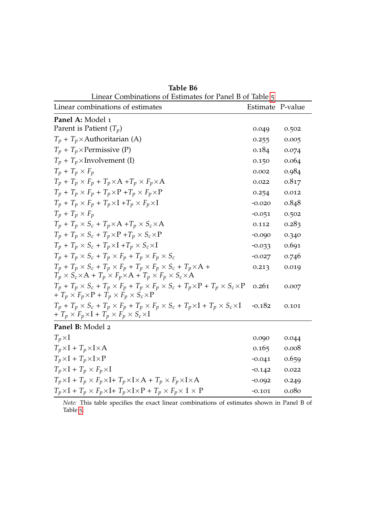<span id="page-65-0"></span>

| Linear Combinations of Estimates for Panel B of Table 5                                                                                                                            |                  |       |
|------------------------------------------------------------------------------------------------------------------------------------------------------------------------------------|------------------|-------|
| Linear combinations of estimates                                                                                                                                                   | Estimate P-value |       |
| Panel A: Model 1                                                                                                                                                                   |                  |       |
| Parent is Patient $(T_p)$                                                                                                                                                          | 0.049            | 0.502 |
| $T_p + T_p \times$ Authoritarian (A)                                                                                                                                               | 0.255            | 0.005 |
| $T_p + T_p \times$ Permissive (P)                                                                                                                                                  | 0.184            | 0.074 |
| $T_p + T_p \times Involvement (I)$                                                                                                                                                 | 0.150            | 0.064 |
| $T_p + T_p \times F_p$                                                                                                                                                             | 0.002            | 0.984 |
| $T_p + T_p \times F_p + T_p \times A + T_p \times F_p \times A$                                                                                                                    | 0.022            | 0.817 |
| $T_p + T_p \times F_p + T_p \times P + T_p \times F_p \times P$                                                                                                                    | 0.254            | 0.012 |
| $T_p + T_p \times F_p + T_p \times I + T_p \times F_p \times I$                                                                                                                    | $-0.020$         | 0.848 |
| $T_p + T_p \times F_p$                                                                                                                                                             | $-0.051$         | 0.502 |
| $T_p + T_p \times S_c + T_p \times A + T_p \times S_c \times A$                                                                                                                    | 0.112            | 0.283 |
| $T_p + T_p \times S_c + T_p \times P + T_p \times S_c \times P$                                                                                                                    | $-0.090$         | 0.340 |
| $T_p + T_p \times S_c + T_p \times I + T_p \times S_c \times I$                                                                                                                    | $-0.033$         | 0.691 |
| $T_p + T_p \times S_c + T_p \times F_p + T_p \times F_p \times S_c$                                                                                                                | $-0.027$         | 0.746 |
| $T_p + T_p \times S_c + T_p \times F_p + T_p \times F_p \times S_c + T_p \times A +$<br>$T_p \times S_c \times A + T_p \times F_p \times A + T_p \times F_p \times S_c \times A$   | 0.213            | 0.019 |
| $T_p + T_p \times S_c + T_p \times F_p + T_p \times F_p \times S_c + T_p \times P + T_p \times S_c \times P$<br>+ $T_p \times F_p \times P$ + $T_p \times F_p \times S_c \times P$ | 0.261            | 0.007 |
| $T_p + T_p \times S_c + T_p \times F_p + T_p \times F_p \times S_c + T_p \times I + T_p \times S_c \times I$<br>+ $T_p \times F_p \times I + T_p \times F_p \times S_c \times I$   | $-0.182$         | 0.101 |
| Panel B: Model 2                                                                                                                                                                   |                  |       |
| $T_p \times I$                                                                                                                                                                     | 0.090            | 0.044 |
| $T_p \times I + T_p \times I \times A$                                                                                                                                             | 0.165            | 0.008 |
| $T_p \times I + T_p \times I \times P$                                                                                                                                             | $-0.041$         | 0.659 |
| $T_p \times I + T_p \times F_p \times I$                                                                                                                                           | $-0.142$         | 0.022 |
| $T_p \times I + T_p \times F_p \times I + T_p \times I \times A + T_p \times F_p \times I \times A$                                                                                | $-0.092$         | 0.249 |
| $T_p \times \text{I} + T_p \times F_p \times \text{I} + T_p \times \text{I} \times \text{P} + T_p \times F_p \times \text{I} \times \text{P}$                                      | $-0.101$         | 0.080 |

<span id="page-65-1"></span>**Table B6**

*Note:* This table specifies the exact linear combinations of estimates shown in Panel B of Table [5](#page-27-0).